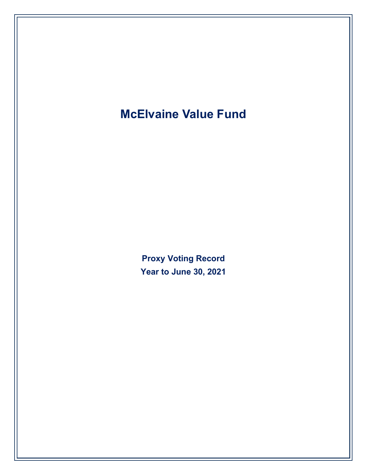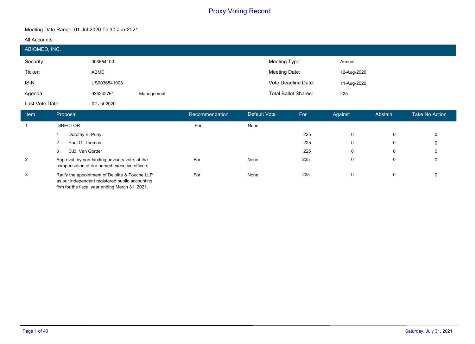#### **Meeting Date Range: 01-Jul-2020 To 30-Jun-2021**

#### **All Accounts**

|                                   | ABIOMED, INC.        |                                                                                                 |               |                             |                     |               |              |         |                       |  |
|-----------------------------------|----------------------|-------------------------------------------------------------------------------------------------|---------------|-----------------------------|---------------------|---------------|--------------|---------|-----------------------|--|
| Security:                         |                      | 003654100                                                                                       |               |                             |                     | Meeting Type: |              |         |                       |  |
| Ticker:<br>ABMD                   |                      |                                                                                                 | Meeting Date: |                             | 12-Aug-2020         |               |              |         |                       |  |
| <b>ISIN</b><br>US0036541003       |                      |                                                                                                 |               |                             | Vote Deadline Date: | 11-Aug-2020   |              |         |                       |  |
| Agenda<br>935242761<br>Management |                      |                                                                                                 |               | <b>Total Ballot Shares:</b> | 225                 |               |              |         |                       |  |
| Last Vote Date:                   |                      | 02-Jul-2020                                                                                     |               |                             |                     |               |              |         |                       |  |
|                                   |                      |                                                                                                 |               |                             |                     |               |              |         |                       |  |
| Item                              | Proposal             |                                                                                                 |               | Recommendation              | Default Vote        | For           | Against      | Abstain | <b>Take No Action</b> |  |
| $\overline{1}$                    | <b>DIRECTOR</b>      |                                                                                                 |               | For                         | None                |               |              |         |                       |  |
|                                   | Dorothy E. Puhy      |                                                                                                 |               |                             |                     | 225           | $\mathbf{0}$ | 0       | 0                     |  |
|                                   | Paul G. Thomas<br>2  |                                                                                                 |               |                             |                     | 225           | 0            | 0       | 0                     |  |
|                                   | C.D. Van Gorder<br>3 |                                                                                                 |               |                             |                     | 225           | $\Omega$     | 0       | 0                     |  |
| $\overline{2}$                    |                      | Approval, by non-binding advisory vote, of the<br>compensation of our named executive officers. |               | For                         | None                | 225           | 0            | 0       | 0                     |  |

Ratify the appointment of Deloitte & Touche LLP as our independent registered public accounting firm for the fiscal year ending March 31, 2021.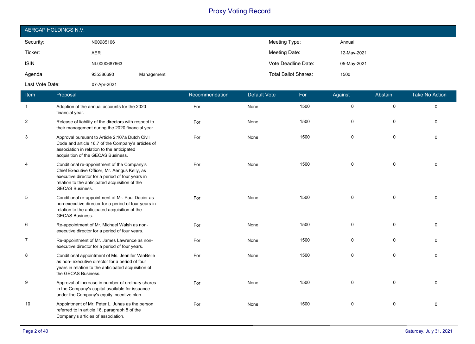| AERCAP HOLDINGS N.V. |              |            |                             |             |  |  |  |
|----------------------|--------------|------------|-----------------------------|-------------|--|--|--|
| Security:            | N00985106    |            | Meeting Type:               | Annual      |  |  |  |
| Ticker:              | <b>AER</b>   |            | Meeting Date:               | 12-May-2021 |  |  |  |
| <b>ISIN</b>          | NL0000687663 |            | Vote Deadline Date:         | 05-May-2021 |  |  |  |
| Agenda               | 935386690    | Management | <b>Total Ballot Shares:</b> | 1500        |  |  |  |
| Last Vote Date:      | 07-Apr-2021  |            |                             |             |  |  |  |

| Item           | Proposal                                                                                                                                                                                                                     | Recommendation | <b>Default Vote</b> | For  | Against     | Abstain      | <b>Take No Action</b> |
|----------------|------------------------------------------------------------------------------------------------------------------------------------------------------------------------------------------------------------------------------|----------------|---------------------|------|-------------|--------------|-----------------------|
| $\mathbf{1}$   | Adoption of the annual accounts for the 2020<br>financial year.                                                                                                                                                              | For            | None                | 1500 | $\mathbf 0$ | $\mathbf 0$  | $\Omega$              |
| $\overline{c}$ | Release of liability of the directors with respect to<br>their management during the 2020 financial year.                                                                                                                    | For            | None                | 1500 | 0           | 0            | $\Omega$              |
| 3              | Approval pursuant to Article 2:107a Dutch Civil<br>Code and article 16.7 of the Company's articles of<br>association in relation to the anticipated<br>acquisition of the GECAS Business.                                    | For            | None                | 1500 | 0           | 0            | $\Omega$              |
| $\overline{4}$ | Conditional re-appointment of the Company's<br>Chief Executive Officer, Mr. Aengus Kelly, as<br>executive director for a period of four years in<br>relation to the anticipated acquisition of the<br><b>GECAS Business.</b> | For            | None                | 1500 | $\mathbf 0$ | 0            | $\Omega$              |
| 5              | Conditional re-appointment of Mr. Paul Dacier as<br>non-executive director for a period of four years in<br>relation to the anticipated acquisition of the<br><b>GECAS Business.</b>                                         | For            | None                | 1500 | $\mathbf 0$ | $\mathbf 0$  | $\Omega$              |
| 6              | Re-appointment of Mr. Michael Walsh as non-<br>executive director for a period of four years.                                                                                                                                | For            | None                | 1500 | 0           | $\mathbf 0$  | $\Omega$              |
| $\overline{7}$ | Re-appointment of Mr. James Lawrence as non-<br>executive director for a period of four years.                                                                                                                               | For            | None                | 1500 | $\mathbf 0$ | $\mathbf{0}$ | $\Omega$              |
| 8              | Conditional appointment of Ms. Jennifer VanBelle<br>as non- executive director for a period of four<br>years in relation to the anticipated acquisition of<br>the GECAS Business.                                            | For            | None                | 1500 | $\mathbf 0$ | $\Omega$     | $\Omega$              |
| 9              | Approval of increase in number of ordinary shares<br>in the Company's capital available for issuance<br>under the Company's equity incentive plan.                                                                           | For            | None                | 1500 | $\mathbf 0$ | $\mathbf{0}$ | $\Omega$              |
| 10             | Appointment of Mr. Peter L. Juhas as the person<br>referred to in article 16, paragraph 8 of the<br>Company's articles of association.                                                                                       | For            | None                | 1500 | $\mathbf 0$ | 0            | $\mathbf{0}$          |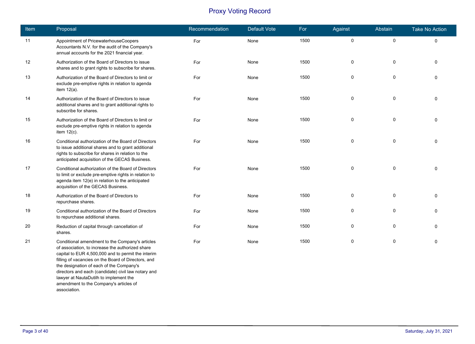| Item | Proposal                                                                                                                                                                                                                                                                                                                                                                                                                | Recommendation | <b>Default Vote</b> | For  | Against     | Abstain   | <b>Take No Action</b> |
|------|-------------------------------------------------------------------------------------------------------------------------------------------------------------------------------------------------------------------------------------------------------------------------------------------------------------------------------------------------------------------------------------------------------------------------|----------------|---------------------|------|-------------|-----------|-----------------------|
| 11   | Appointment of PricewaterhouseCoopers<br>Accountants N.V. for the audit of the Company's<br>annual accounts for the 2021 financial year.                                                                                                                                                                                                                                                                                | For            | None                | 1500 | 0           | $\pmb{0}$ | $\mathbf 0$           |
| 12   | Authorization of the Board of Directors to issue<br>shares and to grant rights to subscribe for shares.                                                                                                                                                                                                                                                                                                                 | For            | None                | 1500 | $\mathbf 0$ | 0         | $\mathbf 0$           |
| 13   | Authorization of the Board of Directors to limit or<br>exclude pre-emptive rights in relation to agenda<br>item $12(a)$ .                                                                                                                                                                                                                                                                                               | For            | None                | 1500 | 0           | $\pmb{0}$ | $\mathbf 0$           |
| 14   | Authorization of the Board of Directors to issue<br>additional shares and to grant additional rights to<br>subscribe for shares.                                                                                                                                                                                                                                                                                        | For            | None                | 1500 | $\mathbf 0$ | 0         | $\Omega$              |
| 15   | Authorization of the Board of Directors to limit or<br>exclude pre-emptive rights in relation to agenda<br>item $12(c)$ .                                                                                                                                                                                                                                                                                               | For            | None                | 1500 | 0           | 0         | $\mathbf{0}$          |
| 16   | Conditional authorization of the Board of Directors<br>to issue additional shares and to grant additional<br>rights to subscribe for shares in relation to the<br>anticipated acquisition of the GECAS Business.                                                                                                                                                                                                        | For            | None                | 1500 | $\mathbf 0$ | 0         | $\Omega$              |
| 17   | Conditional authorization of the Board of Directors<br>to limit or exclude pre-emptive rights in relation to<br>agenda item 12(e) in relation to the anticipated<br>acquisition of the GECAS Business.                                                                                                                                                                                                                  | For            | None                | 1500 | $\mathbf 0$ | $\pmb{0}$ | $\mathbf 0$           |
| 18   | Authorization of the Board of Directors to<br>repurchase shares.                                                                                                                                                                                                                                                                                                                                                        | For            | None                | 1500 | 0           | 0         | $\mathbf 0$           |
| 19   | Conditional authorization of the Board of Directors<br>to repurchase additional shares.                                                                                                                                                                                                                                                                                                                                 | For            | None                | 1500 | 0           | $\pmb{0}$ | $\mathbf 0$           |
| 20   | Reduction of capital through cancellation of<br>shares.                                                                                                                                                                                                                                                                                                                                                                 | For            | None                | 1500 | $\mathbf 0$ | 0         | $\Omega$              |
| 21   | Conditional amendment to the Company's articles<br>of association, to increase the authorized share<br>capital to EUR 4,500,000 and to permit the interim<br>filling of vacancies on the Board of Directors, and<br>the designation of each of the Company's<br>directors and each (candidate) civil law notary and<br>lawyer at NautaDutilh to implement the<br>amendment to the Company's articles of<br>association. | For            | None                | 1500 | $\mathbf 0$ | 0         | $\Omega$              |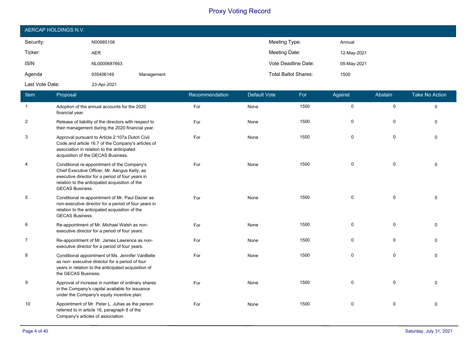| AERCAP HOLDINGS N.V. |              |            |                             |             |  |  |  |
|----------------------|--------------|------------|-----------------------------|-------------|--|--|--|
| Security:            | N00985106    |            | Meeting Type:               | Annual      |  |  |  |
| Ticker:              | <b>AER</b>   |            | Meeting Date:               | 12-May-2021 |  |  |  |
| <b>ISIN</b>          | NL0000687663 |            | Vote Deadline Date:         | 05-May-2021 |  |  |  |
| Agenda               | 935406149    | Management | <b>Total Ballot Shares:</b> | 1500        |  |  |  |
| Last Vote Date:      | 23-Apr-2021  |            |                             |             |  |  |  |

| Item           | Proposal                                                                                                                                                                                                                     | Recommendation | <b>Default Vote</b> | For  | Against             | Abstain      | <b>Take No Action</b> |
|----------------|------------------------------------------------------------------------------------------------------------------------------------------------------------------------------------------------------------------------------|----------------|---------------------|------|---------------------|--------------|-----------------------|
| 1              | Adoption of the annual accounts for the 2020<br>financial year.                                                                                                                                                              | For            | None                | 1500 | $\mathsf{O}\xspace$ | $\mathsf{O}$ | $\Omega$              |
| 2              | Release of liability of the directors with respect to<br>their management during the 2020 financial year.                                                                                                                    | For            | None                | 1500 | 0                   | 0            | $\Omega$              |
| 3              | Approval pursuant to Article 2:107a Dutch Civil<br>Code and article 16.7 of the Company's articles of<br>association in relation to the anticipated<br>acquisition of the GECAS Business.                                    | For            | None                | 1500 | 0                   | $\mathsf{O}$ | $\Omega$              |
| $\overline{4}$ | Conditional re-appointment of the Company's<br>Chief Executive Officer, Mr. Aengus Kelly, as<br>executive director for a period of four years in<br>relation to the anticipated acquisition of the<br><b>GECAS Business.</b> | For            | None                | 1500 | 0                   | $\mathbf 0$  | $\Omega$              |
| 5              | Conditional re-appointment of Mr. Paul Dacier as<br>non-executive director for a period of four years in<br>relation to the anticipated acquisition of the<br><b>GECAS Business.</b>                                         | For            | None                | 1500 | $\mathbf 0$         | $\mathbf 0$  | $\Omega$              |
| 6              | Re-appointment of Mr. Michael Walsh as non-<br>executive director for a period of four years.                                                                                                                                | For            | None                | 1500 | 0                   | $\mathbf 0$  | $\Omega$              |
| $\overline{7}$ | Re-appointment of Mr. James Lawrence as non-<br>executive director for a period of four years.                                                                                                                               | For            | None                | 1500 | $\mathbf 0$         | $\mathbf 0$  | $\Omega$              |
| 8              | Conditional appointment of Ms. Jennifer VanBelle<br>as non- executive director for a period of four<br>years in relation to the anticipated acquisition of<br>the GECAS Business.                                            | For            | None                | 1500 | $\mathbf 0$         | $\mathbf 0$  | $\Omega$              |
| 9              | Approval of increase in number of ordinary shares<br>in the Company's capital available for issuance<br>under the Company's equity incentive plan.                                                                           | For            | None                | 1500 | $\mathbf 0$         | $\mathbf 0$  | $\Omega$              |
| 10             | Appointment of Mr. Peter L. Juhas as the person<br>referred to in article 16, paragraph 8 of the<br>Company's articles of association.                                                                                       | For            | None                | 1500 | $\mathbf 0$         | 0            | $\Omega$              |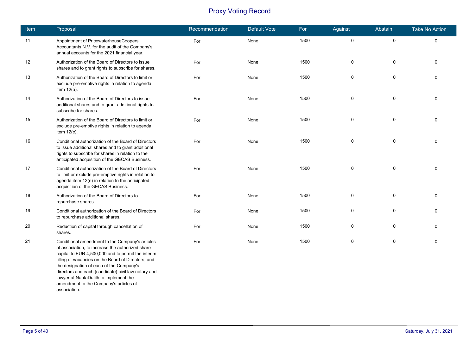| <b>Item</b> | Proposal                                                                                                                                                                                                                                                                                                                                                                                                                | Recommendation | <b>Default Vote</b> | For  | Against     | Abstain     | <b>Take No Action</b> |
|-------------|-------------------------------------------------------------------------------------------------------------------------------------------------------------------------------------------------------------------------------------------------------------------------------------------------------------------------------------------------------------------------------------------------------------------------|----------------|---------------------|------|-------------|-------------|-----------------------|
| 11          | Appointment of PricewaterhouseCoopers<br>Accountants N.V. for the audit of the Company's<br>annual accounts for the 2021 financial year.                                                                                                                                                                                                                                                                                | For            | None                | 1500 | $\pmb{0}$   | $\pmb{0}$   | $\mathbf 0$           |
| 12          | Authorization of the Board of Directors to issue<br>shares and to grant rights to subscribe for shares.                                                                                                                                                                                                                                                                                                                 | For            | None                | 1500 | 0           | 0           | 0                     |
| 13          | Authorization of the Board of Directors to limit or<br>exclude pre-emptive rights in relation to agenda<br>item $12(a)$ .                                                                                                                                                                                                                                                                                               | For            | None                | 1500 | $\pmb{0}$   | $\pmb{0}$   | $\Omega$              |
| 14          | Authorization of the Board of Directors to issue<br>additional shares and to grant additional rights to<br>subscribe for shares.                                                                                                                                                                                                                                                                                        | For            | None                | 1500 | $\mathbf 0$ | $\mathbf 0$ | $\Omega$              |
| 15          | Authorization of the Board of Directors to limit or<br>exclude pre-emptive rights in relation to agenda<br>item $12(c)$ .                                                                                                                                                                                                                                                                                               | For            | None                | 1500 | 0           | 0           | $\Omega$              |
| 16          | Conditional authorization of the Board of Directors<br>to issue additional shares and to grant additional<br>rights to subscribe for shares in relation to the<br>anticipated acquisition of the GECAS Business.                                                                                                                                                                                                        | For            | None                | 1500 | $\Omega$    | 0           | $\Omega$              |
| 17          | Conditional authorization of the Board of Directors<br>to limit or exclude pre-emptive rights in relation to<br>agenda item 12(e) in relation to the anticipated<br>acquisition of the GECAS Business.                                                                                                                                                                                                                  | For            | None                | 1500 | 0           | $\pmb{0}$   | $\Omega$              |
| 18          | Authorization of the Board of Directors to<br>repurchase shares.                                                                                                                                                                                                                                                                                                                                                        | For            | None                | 1500 | $\mathbf 0$ | $\pmb{0}$   | $\Omega$              |
| 19          | Conditional authorization of the Board of Directors<br>to repurchase additional shares.                                                                                                                                                                                                                                                                                                                                 | For            | None                | 1500 | $\mathbf 0$ | 0           | $\Omega$              |
| 20          | Reduction of capital through cancellation of<br>shares.                                                                                                                                                                                                                                                                                                                                                                 | For            | None                | 1500 | 0           | 0           | $\Omega$              |
| 21          | Conditional amendment to the Company's articles<br>of association, to increase the authorized share<br>capital to EUR 4,500,000 and to permit the interim<br>filling of vacancies on the Board of Directors, and<br>the designation of each of the Company's<br>directors and each (candidate) civil law notary and<br>lawyer at NautaDutilh to implement the<br>amendment to the Company's articles of<br>association. | For            | None                | 1500 | $\mathbf 0$ | $\pmb{0}$   | $\Omega$              |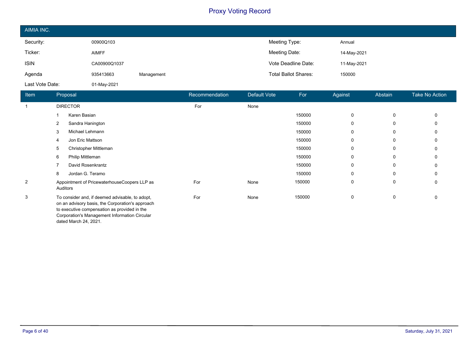| AIMIA INC.      |              |            |                             |             |
|-----------------|--------------|------------|-----------------------------|-------------|
| Security:       | 00900Q103    |            | Meeting Type:               | Annual      |
| Ticker:         | <b>AIMFF</b> |            | Meeting Date:               | 14-May-2021 |
| <b>ISIN</b>     | CA00900Q1037 |            | Vote Deadline Date:         | 11-May-2021 |
| Agenda          | 935413663    | Management | <b>Total Ballot Shares:</b> | 150000      |
| Last Vote Date: | 01-May-2021  |            |                             |             |

| Item | Proposal                                                                                                                                                                                                                      | Recommendation | Default Vote | For    | Against  | Abstain | <b>Take No Action</b> |
|------|-------------------------------------------------------------------------------------------------------------------------------------------------------------------------------------------------------------------------------|----------------|--------------|--------|----------|---------|-----------------------|
|      | <b>DIRECTOR</b>                                                                                                                                                                                                               | For            | None         |        |          |         |                       |
|      | Karen Basian                                                                                                                                                                                                                  |                |              | 150000 | 0        | 0       | 0                     |
|      | Sandra Hanington<br>2                                                                                                                                                                                                         |                |              | 150000 | $\Omega$ | 0       |                       |
|      | Michael Lehmann<br>3                                                                                                                                                                                                          |                |              | 150000 | 0        | 0       |                       |
|      | Jon Eric Mattson<br>4                                                                                                                                                                                                         |                |              | 150000 | 0        | 0       |                       |
|      | Christopher Mittleman<br>5                                                                                                                                                                                                    |                |              | 150000 | $\Omega$ | 0       |                       |
|      | 6<br>Philip Mittleman                                                                                                                                                                                                         |                |              | 150000 | 0        | 0       |                       |
|      | David Rosenkrantz                                                                                                                                                                                                             |                |              | 150000 | 0        | 0       |                       |
|      | Jordan G. Teramo<br>8                                                                                                                                                                                                         |                |              | 150000 | $\Omega$ | 0       |                       |
| 2    | Appointment of PricewaterhouseCoopers LLP as<br>Auditors                                                                                                                                                                      | For            | None         | 150000 | 0        | 0       | 0                     |
| 3    | To consider and, if deemed advisable, to adopt,<br>on an advisory basis, the Corporation's approach<br>to executive compensation as provided in the<br>Corporation's Management Information Circular<br>dated March 24, 2021. | For            | None         | 150000 | 0        | 0       | $\Omega$              |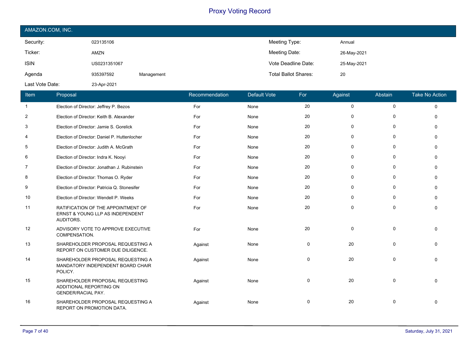| AMAZON.COM, INC. |              |            |                             |             |  |  |  |
|------------------|--------------|------------|-----------------------------|-------------|--|--|--|
| Security:        | 023135106    |            | Meeting Type:               | Annual      |  |  |  |
| Ticker:          | AMZN         |            | Meeting Date:               | 26-May-2021 |  |  |  |
| <b>ISIN</b>      | US0231351067 |            | Vote Deadline Date:         | 25-May-2021 |  |  |  |
| Agenda           | 935397592    | Management | <b>Total Ballot Shares:</b> | 20          |  |  |  |
| Last Vote Date:  | 23-Apr-2021  |            |                             |             |  |  |  |

| Item           | Proposal                                                                            | Recommendation | <b>Default Vote</b> | For         | Against     | Abstain     | <b>Take No Action</b> |
|----------------|-------------------------------------------------------------------------------------|----------------|---------------------|-------------|-------------|-------------|-----------------------|
| $\mathbf{1}$   | Election of Director: Jeffrey P. Bezos                                              | For            | None                | 20          | $\mathbf 0$ | $\mathbf 0$ | $\Omega$              |
| $\overline{2}$ | Election of Director: Keith B. Alexander                                            | For            | None                | 20          | 0           | $\Omega$    | $\Omega$              |
| 3              | Election of Director: Jamie S. Gorelick                                             | For            | None                | 20          | 0           | 0           | $\Omega$              |
| 4              | Election of Director: Daniel P. Huttenlocher                                        | For            | None                | 20          | 0           | $\mathbf 0$ | $\Omega$              |
| 5              | Election of Director: Judith A. McGrath                                             | For            | None                | 20          | 0           | $\mathbf 0$ | $\Omega$              |
| 6              | Election of Director: Indra K. Nooyi                                                | For            | None                | 20          | $\Omega$    | $\Omega$    | $\Omega$              |
| 7              | Election of Director: Jonathan J. Rubinstein                                        | For            | None                | 20          | 0           | 0           | $\Omega$              |
| 8              | Election of Director: Thomas O. Ryder                                               | For            | None                | 20          | 0           | 0           | $\Omega$              |
| 9              | Election of Director: Patricia Q. Stonesifer                                        | For            | None                | 20          | $\mathbf 0$ | $\mathbf 0$ | $\Omega$              |
| 10             | Election of Director: Wendell P. Weeks                                              | For            | None                | 20          | 0           | 0           | $\Omega$              |
| 11             | RATIFICATION OF THE APPOINTMENT OF<br>ERNST & YOUNG LLP AS INDEPENDENT<br>AUDITORS. | For            | None                | 20          | $\mathbf 0$ | $\mathbf 0$ | $\Omega$              |
| 12             | ADVISORY VOTE TO APPROVE EXECUTIVE<br>COMPENSATION.                                 | For            | None                | 20          | $\mathbf 0$ | $\mathbf 0$ | $\Omega$              |
| 13             | SHAREHOLDER PROPOSAL REQUESTING A<br>REPORT ON CUSTOMER DUE DILIGENCE.              | Against        | None                | $\mathbf 0$ | 20          | $\mathbf 0$ | $\Omega$              |
| 14             | SHAREHOLDER PROPOSAL REQUESTING A<br>MANDATORY INDEPENDENT BOARD CHAIR<br>POLICY.   | Against        | None                | 0           | 20          | $\mathbf 0$ | $\Omega$              |
| 15             | SHAREHOLDER PROPOSAL REQUESTING<br>ADDITIONAL REPORTING ON<br>GENDER/RACIAL PAY.    | Against        | None                | 0           | 20          | 0           | $\Omega$              |
| 16             | SHAREHOLDER PROPOSAL REQUESTING A<br>REPORT ON PROMOTION DATA.                      | Against        | None                | $\mathbf 0$ | 20          | $\Omega$    | $\Omega$              |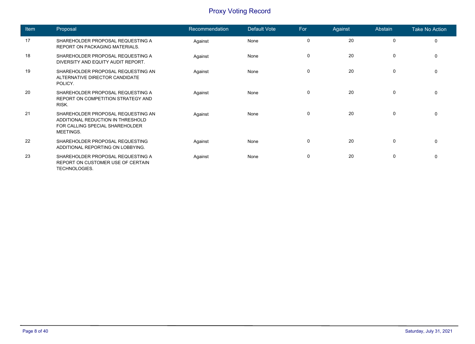| <b>Item</b> | Proposal                                                                                                                | Recommendation | Default Vote | For         | Against | Abstain     | <b>Take No Action</b> |
|-------------|-------------------------------------------------------------------------------------------------------------------------|----------------|--------------|-------------|---------|-------------|-----------------------|
| 17          | SHAREHOLDER PROPOSAL REQUESTING A<br><b>REPORT ON PACKAGING MATERIALS.</b>                                              | Against        | None         | $\mathbf 0$ | 20      | $\mathbf 0$ | 0                     |
| 18          | SHAREHOLDER PROPOSAL REQUESTING A<br>DIVERSITY AND EQUITY AUDIT REPORT.                                                 | Against        | None         | $\mathbf 0$ | 20      | $\mathbf 0$ | 0                     |
| 19          | SHAREHOLDER PROPOSAL REQUESTING AN<br>ALTERNATIVE DIRECTOR CANDIDATE<br>POLICY.                                         | Against        | None         | $\mathbf 0$ | 20      | $\mathbf 0$ | $\mathbf 0$           |
| 20          | SHAREHOLDER PROPOSAL REQUESTING A<br>REPORT ON COMPETITION STRATEGY AND<br>RISK.                                        | Against        | None         | $\Omega$    | 20      | $\mathbf 0$ | $\Omega$              |
| 21          | SHAREHOLDER PROPOSAL REQUESTING AN<br>ADDITIONAL REDUCTION IN THRESHOLD<br>FOR CALLING SPECIAL SHAREHOLDER<br>MEETINGS. | Against        | None         | 0           | 20      | $\mathbf 0$ | $\Omega$              |
| 22          | SHAREHOLDER PROPOSAL REQUESTING<br>ADDITIONAL REPORTING ON LOBBYING.                                                    | Against        | None         | 0           | 20      | 0           | 0                     |
| 23          | SHAREHOLDER PROPOSAL REQUESTING A<br>REPORT ON CUSTOMER USE OF CERTAIN<br>TECHNOLOGIES.                                 | Against        | None         | $\Omega$    | 20      | 0           | $\mathbf 0$           |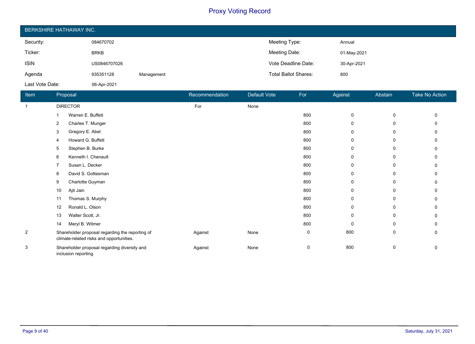| <b>BERKSHIRE HATHAWAY INC.</b> |              |            |                             |             |  |  |
|--------------------------------|--------------|------------|-----------------------------|-------------|--|--|
| Security:                      | 084670702    |            | Meeting Type:               | Annual      |  |  |
| Ticker:                        | <b>BRKB</b>  |            | Meeting Date:               | 01-May-2021 |  |  |
| <b>ISIN</b>                    | US0846707026 |            | Vote Deadline Date:         | 30-Apr-2021 |  |  |
| Agenda                         | 935351128    | Management | <b>Total Ballot Shares:</b> | 800         |  |  |
| Last Vote Date:                | 06-Apr-2021  |            |                             |             |  |  |

| Item           | Proposal                                                                                    | Recommendation | Default Vote | For | Against      | Abstain | Take No Action |
|----------------|---------------------------------------------------------------------------------------------|----------------|--------------|-----|--------------|---------|----------------|
| -1             | <b>DIRECTOR</b>                                                                             | For            | None         |     |              |         |                |
|                | Warren E. Buffett                                                                           |                |              | 800 | 0            | 0       |                |
|                | Charles T. Munger<br>2                                                                      |                |              | 800 | $\mathbf{0}$ | 0       |                |
|                | Gregory E. Abel<br>3                                                                        |                |              | 800 | 0            | 0       |                |
|                | Howard G. Buffett<br>4                                                                      |                |              | 800 | 0            | 0       |                |
|                | Stephen B. Burke<br>5                                                                       |                |              | 800 | 0            | 0       | 0              |
|                | Kenneth I. Chenault<br>6                                                                    |                |              | 800 | 0            | 0       |                |
|                | Susan L. Decker                                                                             |                |              | 800 | $\mathbf{0}$ | 0       |                |
|                | David S. Gottesman<br>8                                                                     |                |              | 800 | 0            | 0       |                |
|                | Charlotte Guyman<br>9                                                                       |                |              | 800 | 0            | 0       |                |
|                | Ajit Jain<br>10                                                                             |                |              | 800 | $\mathbf{0}$ | 0       | 0              |
|                | Thomas S. Murphy<br>11                                                                      |                |              | 800 | 0            | 0       |                |
|                | Ronald L. Olson<br>12                                                                       |                |              | 800 | $\mathbf{0}$ | 0       | ŋ              |
|                | Walter Scott, Jr.<br>13                                                                     |                |              | 800 | $\mathbf{0}$ | 0       |                |
|                | Meryl B. Witmer<br>14                                                                       |                |              | 800 | 0            | 0       |                |
| $\overline{2}$ | Shareholder proposal regarding the reporting of<br>climate-related risks and opportunities. | Against        | None         | 0   | 800          | 0       | 0              |
| 3              | Shareholder proposal regarding diversity and<br>inclusion reporting.                        | Against        | None         | 0   | 800          | 0       | 0              |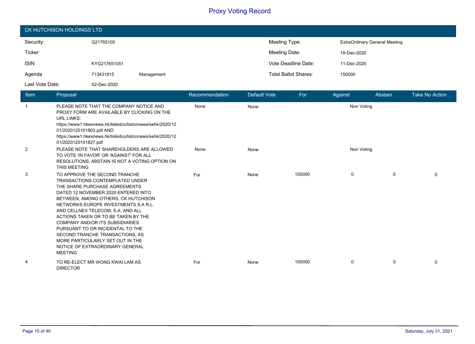| CK HUTCHISON HOLDINGS LTD |              |            |                             |                                      |  |  |
|---------------------------|--------------|------------|-----------------------------|--------------------------------------|--|--|
| Security:                 | G21765105    |            | Meeting Type:               | <b>ExtraOrdinary General Meeting</b> |  |  |
| Ticker:                   |              |            | Meeting Date:               | 18-Dec-2020                          |  |  |
| <b>ISIN</b>               | KYG217651051 |            | Vote Deadline Date:         | 11-Dec-2020                          |  |  |
| Agenda                    | 713431815    | Management | <b>Total Ballot Shares:</b> | 150000                               |  |  |
| Last Vote Date:           | 02-Dec-2020  |            |                             |                                      |  |  |

| Item           | Proposal                                                                                                                                                                                                                                                                                                                                                                                                                                                                                                      | Recommendation | <b>Default Vote</b> | For    | Against    | Abstain | <b>Take No Action</b> |
|----------------|---------------------------------------------------------------------------------------------------------------------------------------------------------------------------------------------------------------------------------------------------------------------------------------------------------------------------------------------------------------------------------------------------------------------------------------------------------------------------------------------------------------|----------------|---------------------|--------|------------|---------|-----------------------|
| $\mathbf{1}$   | PLEASE NOTE THAT THE COMPANY NOTICE AND<br>PROXY FORM ARE AVAILABLE BY CLICKING ON THE<br><b>URL LINKS:</b><br>https://www1.hkexnews.hk/listedco/listconews/sehk/2020/12<br>01/2020120101803.pdf AND<br>https://www1.hkexnews.hk/listedco/listconews/sehk/2020/12<br>01/2020120101827.pdf                                                                                                                                                                                                                     | None           | None                |        | Non Voting |         |                       |
| $\overline{2}$ | PLEASE NOTE THAT SHAREHOLDERS ARE ALLOWED<br>TO VOTE 'IN FAVOR' OR 'AGAINST' FOR ALL<br>RESOLUTIONS, ABSTAIN IS NOT A VOTING OPTION ON<br>THIS MEETING                                                                                                                                                                                                                                                                                                                                                        | None           | None                |        | Non Voting |         |                       |
| 3              | TO APPROVE THE SECOND TRANCHE<br>TRANSACTIONS CONTEMPLATED UNDER<br>THE SHARE PURCHASE AGREEMENTS<br>DATED 12 NOVEMBER 2020 ENTERED INTO<br>BETWEEN, AMONG OTHERS, CK HUTCHISON<br>NETWORKS EUROPE INVESTMENTS S.A.R.L.<br>AND CELLNEX TELECOM, S.A. AND ALL<br>ACTIONS TAKEN OR TO BE TAKEN BY THE<br><b>COMPANY AND/OR ITS SUBSIDIARIES</b><br>PURSUANT TO OR INCIDENTAL TO THE<br>SECOND TRANCHE TRANSACTIONS, AS<br>MORE PARTICULARLY SET OUT IN THE<br>NOTICE OF EXTRAORDINARY GENERAL<br><b>MEETING</b> | For            | None                | 150000 | 0          | 0       | $\Omega$              |
| 4              | TO RE-ELECT MR WONG KWAI LAM AS<br><b>DIRECTOR</b>                                                                                                                                                                                                                                                                                                                                                                                                                                                            | For            | None                | 150000 | 0          | 0       | $\Omega$              |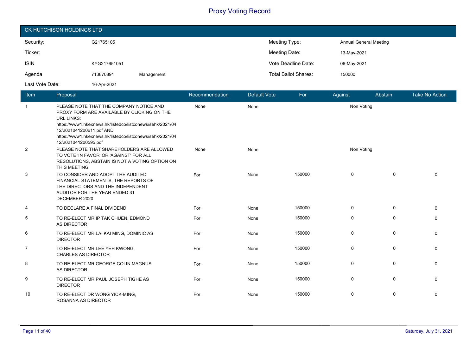| CK HUTCHISON HOLDINGS LTD |              |            |                             |                               |  |  |
|---------------------------|--------------|------------|-----------------------------|-------------------------------|--|--|
| Security:                 | G21765105    |            | Meeting Type:               | <b>Annual General Meeting</b> |  |  |
| Ticker:                   |              |            | Meeting Date:               | 13-May-2021                   |  |  |
| <b>ISIN</b>               | KYG217651051 |            | Vote Deadline Date:         | 06-May-2021                   |  |  |
| Agenda                    | 713870891    | Management | <b>Total Ballot Shares:</b> | 150000                        |  |  |
| Last Vote Date:           | 16-Apr-2021  |            |                             |                               |  |  |

| <b>Item</b>    | Proposal                                                                                                                                                                                                                                                                                  | Recommendation | <b>Default Vote</b> | For    | Against     | Abstain     | <b>Take No Action</b> |
|----------------|-------------------------------------------------------------------------------------------------------------------------------------------------------------------------------------------------------------------------------------------------------------------------------------------|----------------|---------------------|--------|-------------|-------------|-----------------------|
| $\overline{1}$ | PLEASE NOTE THAT THE COMPANY NOTICE AND<br>PROXY FORM ARE AVAILABLE BY CLICKING ON THE<br><b>URL LINKS:</b><br>https://www1.hkexnews.hk/listedco/listconews/sehk/2021/04<br>12/2021041200611.pdf AND<br>https://www1.hkexnews.hk/listedco/listconews/sehk/2021/04<br>12/2021041200595.pdf | None           | None                |        | Non Voting  |             |                       |
| $\overline{2}$ | PLEASE NOTE THAT SHAREHOLDERS ARE ALLOWED<br>TO VOTE 'IN FAVOR' OR 'AGAINST' FOR ALL<br>RESOLUTIONS, ABSTAIN IS NOT A VOTING OPTION ON<br>THIS MEETING                                                                                                                                    | None           | None                |        | Non Voting  |             |                       |
| 3              | TO CONSIDER AND ADOPT THE AUDITED<br>FINANCIAL STATEMENTS, THE REPORTS OF<br>THE DIRECTORS AND THE INDEPENDENT<br>AUDITOR FOR THE YEAR ENDED 31<br>DECEMBER 2020                                                                                                                          | For            | None                | 150000 | 0           | $\mathbf 0$ | $\Omega$              |
| 4              | TO DECLARE A FINAL DIVIDEND                                                                                                                                                                                                                                                               | For            | None                | 150000 | 0           | $\mathbf 0$ | $\Omega$              |
| 5              | TO RE-ELECT MR IP TAK CHUEN, EDMOND<br>AS DIRECTOR                                                                                                                                                                                                                                        | For            | None                | 150000 | $\mathbf 0$ | $\mathbf 0$ | $\Omega$              |
| 6              | TO RE-ELECT MR LAI KAI MING, DOMINIC AS<br><b>DIRECTOR</b>                                                                                                                                                                                                                                | For            | None                | 150000 | 0           | $\mathbf 0$ | 0                     |
| $\overline{7}$ | TO RE-ELECT MR LEE YEH KWONG.<br><b>CHARLES AS DIRECTOR</b>                                                                                                                                                                                                                               | For            | None                | 150000 | $\mathbf 0$ | $\mathbf 0$ | $\Omega$              |
| 8              | TO RE-ELECT MR GEORGE COLIN MAGNUS<br><b>AS DIRECTOR</b>                                                                                                                                                                                                                                  | For            | None                | 150000 | $\mathbf 0$ | $\mathbf 0$ | $\Omega$              |
| 9              | TO RE-ELECT MR PAUL JOSEPH TIGHE AS<br><b>DIRECTOR</b>                                                                                                                                                                                                                                    | For            | None                | 150000 | 0           | 0           | 0                     |
| 10             | TO RE-ELECT DR WONG YICK-MING,<br><b>ROSANNA AS DIRECTOR</b>                                                                                                                                                                                                                              | For            | None                | 150000 | $\mathbf 0$ | $\mathbf 0$ | 0                     |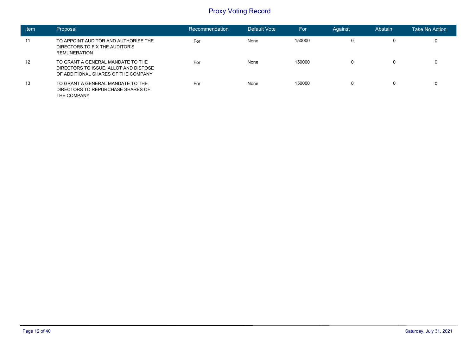| <b>Item</b>       | Proposal                                                                                                          | Recommendation | Default Vote | For    | Against | Abstain | Take No Action |
|-------------------|-------------------------------------------------------------------------------------------------------------------|----------------|--------------|--------|---------|---------|----------------|
| 11                | TO APPOINT AUDITOR AND AUTHORISE THE<br>DIRECTORS TO FIX THE AUDITOR'S<br><b>REMUNERATION</b>                     | For            | None         | 150000 | 0       | 0       | 0              |
| $12 \overline{ }$ | TO GRANT A GENERAL MANDATE TO THE<br>DIRECTORS TO ISSUE, ALLOT AND DISPOSE<br>OF ADDITIONAL SHARES OF THE COMPANY | For            | None         | 150000 | 0       | 0       | 0              |
| 13                | TO GRANT A GENERAL MANDATE TO THE<br>DIRECTORS TO REPURCHASE SHARES OF<br>THE COMPANY                             | For            | None         | 150000 | 0       | 0       | 0              |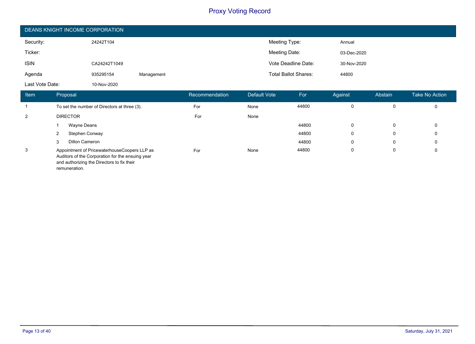| DEANS KNIGHT INCOME CORPORATION |              |            |                             |             |  |  |
|---------------------------------|--------------|------------|-----------------------------|-------------|--|--|
| Security:                       | 24242T104    |            | Meeting Type:               | Annual      |  |  |
| Ticker:                         |              |            | Meeting Date:               | 03-Dec-2020 |  |  |
| <b>ISIN</b>                     | CA24242T1049 |            | Vote Deadline Date:         | 30-Nov-2020 |  |  |
| Agenda                          | 935295154    | Management | <b>Total Ballot Shares:</b> | 44800       |  |  |
| Last Vote Date:                 | 10-Nov-2020  |            |                             |             |  |  |

| Item | Proposal                                                                                                                                       | Recommendation | Default Vote | For   | Against  | Abstain | Take No Action |
|------|------------------------------------------------------------------------------------------------------------------------------------------------|----------------|--------------|-------|----------|---------|----------------|
|      | To set the number of Directors at three (3).                                                                                                   | For            | None         | 44800 | $\Omega$ | 0       | $\mathbf 0$    |
| 2    | <b>DIRECTOR</b>                                                                                                                                | For            | None         |       |          |         |                |
|      | Wayne Deans                                                                                                                                    |                |              | 44800 | $\Omega$ | 0       | 0              |
|      | Stephen Conway                                                                                                                                 |                |              | 44800 | 0        | 0       | 0              |
|      | Dillon Cameron                                                                                                                                 |                |              | 44800 | $\Omega$ | 0       | 0              |
| 3    | Appointment of PricewaterhouseCoopers LLP as<br>Auditors of the Corporation for the ensuing year<br>and authorizing the Directors to fix their | For            | None         | 44800 | $\Omega$ | 0       | $\mathbf 0$    |

remuneration.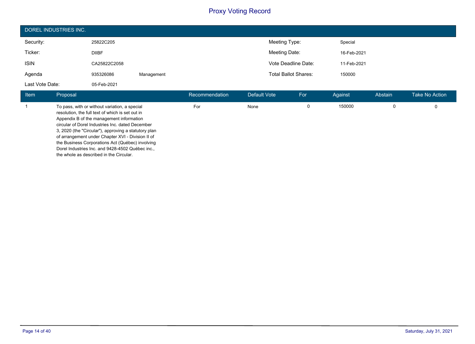| DOREL INDUSTRIES INC. |              |            |                             |             |  |  |
|-----------------------|--------------|------------|-----------------------------|-------------|--|--|
| Security:             | 25822C205    |            | Meeting Type:               | Special     |  |  |
| Ticker:               | <b>DIIBF</b> |            | Meeting Date:               | 16-Feb-2021 |  |  |
| <b>ISIN</b>           | CA25822C2058 |            | Vote Deadline Date:         | 11-Feb-2021 |  |  |
| Agenda                | 935326086    | Management | <b>Total Ballot Shares:</b> | 150000      |  |  |
| Last Vote Date:       | 05-Feb-2021  |            |                             |             |  |  |

| <b>Item</b> | Proposal                                                                                                                                                                                                                                                                                                                                                                                                                                                          | Recommendation | Default Vote | For | Against | Abstain | <b>Take No Action</b> |
|-------------|-------------------------------------------------------------------------------------------------------------------------------------------------------------------------------------------------------------------------------------------------------------------------------------------------------------------------------------------------------------------------------------------------------------------------------------------------------------------|----------------|--------------|-----|---------|---------|-----------------------|
|             | To pass, with or without variation, a special<br>resolution, the full text of which is set out in<br>Appendix B of the management information<br>circular of Dorel Industries Inc. dated December<br>3, 2020 (the "Circular"), approving a statutory plan<br>of arrangement under Chapter XVI - Division II of<br>the Business Corporations Act (Québec) involving<br>Dorel Industries Inc. and 9428-4502 Québec inc.,<br>the whole as described in the Circular. | For            | None         | 0   | 150000  |         |                       |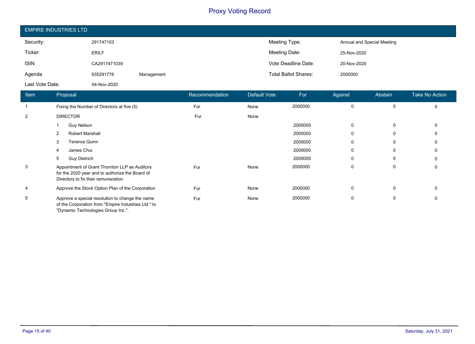| <b>EMPIRE INDUSTRIES LTD.</b> |              |            |                             |                            |  |  |
|-------------------------------|--------------|------------|-----------------------------|----------------------------|--|--|
| Security:                     | 291747103    |            | Meeting Type:               | Annual and Special Meeting |  |  |
| Ticker:                       | <b>ERILF</b> |            | Meeting Date:               | 25-Nov-2020                |  |  |
| <b>ISIN</b>                   | CA2917471039 |            | Vote Deadline Date:         | 20-Nov-2020                |  |  |
| Agenda                        | 935291776    | Management | <b>Total Ballot Shares:</b> | 2000000                    |  |  |
| Last Vote Date:               | 04-Nov-2020  |            |                             |                            |  |  |

| Item | Proposal                                                                                                                                     | Recommendation | Default Vote | For     | Against     | Abstain  | <b>Take No Action</b> |
|------|----------------------------------------------------------------------------------------------------------------------------------------------|----------------|--------------|---------|-------------|----------|-----------------------|
|      | Fixing the Number of Directors at five (5)                                                                                                   | For            | None         | 2000000 | 0           | 0        | $\mathbf 0$           |
| 2    | <b>DIRECTOR</b>                                                                                                                              | For            | None         |         |             |          |                       |
|      | <b>Guy Nelson</b>                                                                                                                            |                |              | 2000000 | $\mathbf 0$ | $\Omega$ | $\Omega$              |
|      | <b>Robert Marshall</b><br>2                                                                                                                  |                |              | 2000000 | 0           | 0        | $\Omega$              |
|      | <b>Terence Quinn</b><br>3                                                                                                                    |                |              | 2000000 | 0           | 0        | 0                     |
|      | James Chui<br>4                                                                                                                              |                |              | 2000000 | 0           | 0        | 0                     |
|      | 5<br><b>Guy Dietrich</b>                                                                                                                     |                |              | 2000000 | 0           | 0        | 0                     |
| 3    | Appointment of Grant Thornton LLP as Auditors<br>for the 2020 year and to authorize the Board of<br>Directors to fix their remuneration      | For            | None         | 2000000 | 0           | 0        | 0                     |
| 4    | Approve the Stock Option Plan of the Corporation                                                                                             | For            | None         | 2000000 | 0           | 0        | 0                     |
| 5    | Approve a special resolution to change the name<br>of the Corporation from "Empire Industries Ltd." to<br>"Dynamic Technologies Group Inc.". | For            | None         | 2000000 | 0           | 0        | 0                     |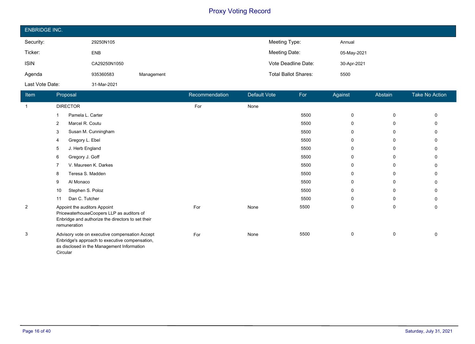| <b>ENBRIDGE INC.</b> |              |            |                             |             |  |  |
|----------------------|--------------|------------|-----------------------------|-------------|--|--|
| Security:            | 29250N105    |            | Meeting Type:               | Annual      |  |  |
| Ticker:              | <b>ENB</b>   |            | Meeting Date:               | 05-May-2021 |  |  |
| <b>ISIN</b>          | CA29250N1050 |            | Vote Deadline Date:         | 30-Apr-2021 |  |  |
| Agenda               | 935360583    | Management | <b>Total Ballot Shares:</b> | 5500        |  |  |
| Last Vote Date:      | 31-Mar-2021  |            |                             |             |  |  |

| Item         | Proposal                                                                                                                                                   | Recommendation | Default Vote | For  | Against      | <b>Abstain</b> | Take No Action |
|--------------|------------------------------------------------------------------------------------------------------------------------------------------------------------|----------------|--------------|------|--------------|----------------|----------------|
| $\mathbf{1}$ | <b>DIRECTOR</b>                                                                                                                                            | For            | None         |      |              |                |                |
|              | Pamela L. Carter                                                                                                                                           |                |              | 5500 | 0            | 0              | 0              |
|              | Marcel R. Coutu<br>2                                                                                                                                       |                |              | 5500 | $\Omega$     | 0              |                |
|              | Susan M. Cunningham<br>3                                                                                                                                   |                |              | 5500 | $\mathbf{0}$ | 0              |                |
|              | Gregory L. Ebel<br>4                                                                                                                                       |                |              | 5500 | 0            | 0              |                |
|              | J. Herb England<br>5                                                                                                                                       |                |              | 5500 | $\Omega$     | 0              |                |
|              | Gregory J. Goff<br>6                                                                                                                                       |                |              | 5500 | $\Omega$     | 0              | 0              |
|              | V. Maureen K. Darkes                                                                                                                                       |                |              | 5500 | 0            | 0              |                |
|              | Teresa S. Madden<br>8                                                                                                                                      |                |              | 5500 | $\Omega$     | 0              | 0              |
|              | Al Monaco<br>9                                                                                                                                             |                |              | 5500 | $\Omega$     | 0              |                |
|              | Stephen S. Poloz<br>10                                                                                                                                     |                |              | 5500 | $\Omega$     | 0              |                |
|              | Dan C. Tutcher<br>11                                                                                                                                       |                |              | 5500 | 0            | 0              | 0              |
| 2            | Appoint the auditors Appoint<br>PricewaterhouseCoopers LLP as auditors of<br>Enbridge and authorize the directors to set their<br>remuneration             | For            | None         | 5500 | $\mathbf 0$  | 0              | 0              |
| 3            | Advisory vote on executive compensation Accept<br>Enbridge's approach to executive compensation,<br>as disclosed in the Management Information<br>Circular | For            | None         | 5500 | $\mathbf 0$  | 0              | 0              |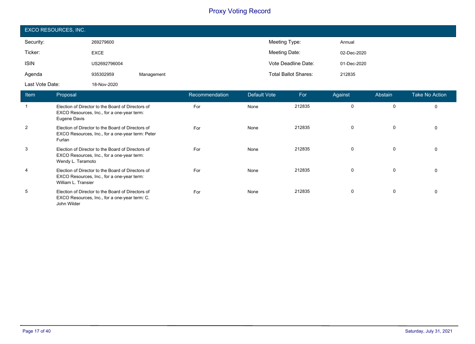| EXCO RESOURCES, INC. |              |            |                             |             |  |  |
|----------------------|--------------|------------|-----------------------------|-------------|--|--|
| Security:            | 269279600    |            | Meeting Type:               | Annual      |  |  |
| Ticker:              | <b>EXCE</b>  |            | Meeting Date:               | 02-Dec-2020 |  |  |
| <b>ISIN</b>          | US2692796004 |            | Vote Deadline Date:         | 01-Dec-2020 |  |  |
| Agenda               | 935302959    | Management | <b>Total Ballot Shares:</b> | 212835      |  |  |
| Last Vote Date:      | 18-Nov-2020  |            |                             |             |  |  |

| <b>Item</b>  | Proposal                                                                                                               | Recommendation | Default Vote | For    | Against  | Abstain     | <b>Take No Action</b> |
|--------------|------------------------------------------------------------------------------------------------------------------------|----------------|--------------|--------|----------|-------------|-----------------------|
| $\mathbf{1}$ | Election of Director to the Board of Directors of<br>EXCO Resources, Inc., for a one-year term:<br>Eugene Davis        | For            | None         | 212835 | 0        | $\Omega$    | $\Omega$              |
| 2            | Election of Director to the Board of Directors of<br>EXCO Resources, Inc., for a one-year term: Peter<br>Furlan        | For            | None         | 212835 | $\Omega$ | $\Omega$    |                       |
| 3            | Election of Director to the Board of Directors of<br>EXCO Resources, Inc., for a one-year term:<br>Wendy L. Teramoto   | For            | None         | 212835 | $\Omega$ | $\mathbf 0$ |                       |
| 4            | Election of Director to the Board of Directors of<br>EXCO Resources, Inc., for a one-year term:<br>William L. Transier | For            | None         | 212835 | $\Omega$ | $\Omega$    |                       |
| 5            | Election of Director to the Board of Directors of<br>EXCO Resources, Inc., for a one-year term: C.<br>John Wilder      | For            | None         | 212835 | $\Omega$ | 0           | $\Omega$              |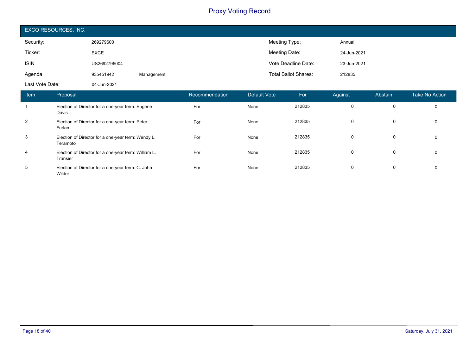| EXCO RESOURCES, INC. |              |            |                             |             |  |  |
|----------------------|--------------|------------|-----------------------------|-------------|--|--|
| Security:            | 269279600    |            | Meeting Type:               | Annual      |  |  |
| Ticker:              | <b>EXCE</b>  |            | Meeting Date:               | 24-Jun-2021 |  |  |
| <b>ISIN</b>          | US2692796004 |            | Vote Deadline Date:         | 23-Jun-2021 |  |  |
| Agenda               | 935451942    | Management | <b>Total Ballot Shares:</b> | 212835      |  |  |
| Last Vote Date:      | 04-Jun-2021  |            |                             |             |  |  |

| Item           | Proposal                                                         | Recommendation | Default Vote | For    | Against  | Abstain  | Take No Action |
|----------------|------------------------------------------------------------------|----------------|--------------|--------|----------|----------|----------------|
|                | Election of Director for a one-year term: Eugene<br>Davis        | For            | None         | 212835 | $\Omega$ | 0        |                |
| $\overline{2}$ | Election of Director for a one-year term: Peter<br>Furlan        | For            | None         | 212835 | 0        | 0        | $\Omega$       |
| 3              | Election of Director for a one-year term: Wendy L.<br>Teramoto   | For            | None         | 212835 | $\Omega$ | $\Omega$ | $\Omega$       |
| $\overline{4}$ | Election of Director for a one-year term: William L.<br>Transier | For            | None         | 212835 | $\Omega$ | $\Omega$ | $\Omega$       |
| 5              | Election of Director for a one-year term: C. John<br>Wilder      | For            | None         | 212835 | 0        | 0        | $\Omega$       |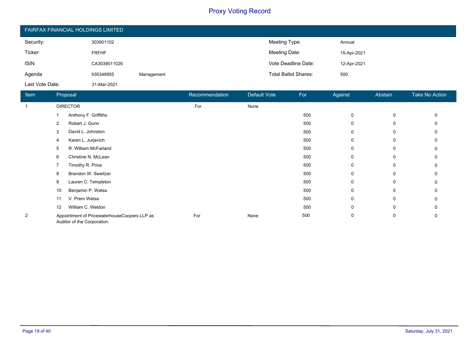| <b>FAIRFAX FINANCIAL HOLDINGS LIMITED</b> |              |            |                             |             |  |  |
|-------------------------------------------|--------------|------------|-----------------------------|-------------|--|--|
| Security:                                 | 303901102    |            | Meeting Type:               | Annual      |  |  |
| Ticker:                                   | <b>FRFHF</b> |            | Meeting Date:               | 15-Apr-2021 |  |  |
| <b>ISIN</b>                               | CA3039011026 |            | Vote Deadline Date:         | 12-Apr-2021 |  |  |
| Agenda                                    | 935348955    | Management | <b>Total Ballot Shares:</b> | 500         |  |  |
| Last Vote Date:                           | 31-Mar-2021  |            |                             |             |  |  |

| Item         | Proposal                                                                    | Recommendation | <b>Default Vote</b> | For | Against     | Abstain | <b>Take No Action</b> |
|--------------|-----------------------------------------------------------------------------|----------------|---------------------|-----|-------------|---------|-----------------------|
| $\mathbf{1}$ | <b>DIRECTOR</b>                                                             | For            | None                |     |             |         |                       |
|              | Anthony F. Griffiths                                                        |                |                     | 500 | $\mathbf 0$ | 0       |                       |
|              | Robert J. Gunn<br>2                                                         |                |                     | 500 | 0           | 0       |                       |
|              | David L. Johnston<br>3                                                      |                |                     | 500 | $\mathbf 0$ | 0       |                       |
|              | Karen L. Jurjevich<br>4                                                     |                |                     | 500 | 0           | 0       |                       |
|              | R. William McFarland<br>5                                                   |                |                     | 500 | 0           | 0       |                       |
|              | Christine N. McLean<br>6                                                    |                |                     | 500 | $\mathbf 0$ | 0       |                       |
|              | Timothy R. Price                                                            |                |                     | 500 | 0           | 0       |                       |
|              | Brandon W. Sweitzer<br>8                                                    |                |                     | 500 | 0           | 0       |                       |
|              | Lauren C. Templeton<br>9                                                    |                |                     | 500 | $\mathbf 0$ | 0       |                       |
|              | Benjamin P. Watsa<br>10                                                     |                |                     | 500 | 0           | 0       |                       |
|              | V. Prem Watsa<br>11                                                         |                |                     | 500 | 0           | 0       |                       |
|              | William C. Weldon<br>$12 \overline{ }$                                      |                |                     | 500 | 0           | 0       |                       |
| 2            | Appointment of PricewaterhouseCoopers LLP as<br>Auditor of the Corporation. | For            | None                | 500 | 0           | 0       |                       |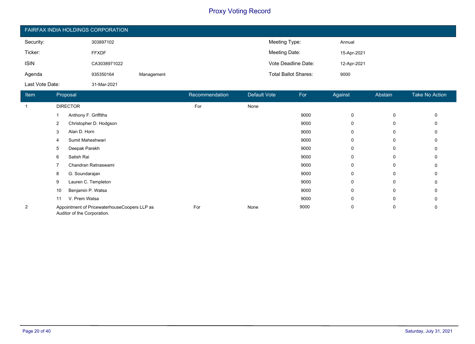| FAIRFAX INDIA HOLDINGS CORPORATION |              |            |                             |             |  |  |
|------------------------------------|--------------|------------|-----------------------------|-------------|--|--|
| Security:                          | 303897102    |            | Meeting Type:               | Annual      |  |  |
| Ticker:                            | <b>FFXDF</b> |            | Meeting Date:               | 15-Apr-2021 |  |  |
| <b>ISIN</b>                        | CA3038971022 |            | Vote Deadline Date:         | 12-Apr-2021 |  |  |
| Agenda                             | 935350164    | Management | <b>Total Ballot Shares:</b> | 9000        |  |  |
| Last Vote Date:                    | 31-Mar-2021  |            |                             |             |  |  |

| Item | Proposal                                                                    | Recommendation | <b>Default Vote</b> | For  | Against      | Abstain | Take No Action |
|------|-----------------------------------------------------------------------------|----------------|---------------------|------|--------------|---------|----------------|
|      | <b>DIRECTOR</b>                                                             | For            | None                |      |              |         |                |
|      | Anthony F. Griffiths                                                        |                |                     | 9000 | $\mathbf 0$  | 0       | 0              |
|      | Christopher D. Hodgson<br>2                                                 |                |                     | 9000 | $\mathbf{0}$ | 0       |                |
|      | Alan D. Horn<br>3                                                           |                |                     | 9000 | 0            | 0       |                |
|      | Sumit Maheshwari<br>4                                                       |                |                     | 9000 | $\mathbf{0}$ | 0       |                |
|      | Deepak Parekh<br>5                                                          |                |                     | 9000 | 0            | 0       |                |
|      | Satish Rai<br>6                                                             |                |                     | 9000 | 0            | 0       |                |
|      | Chandran Ratnaswami                                                         |                |                     | 9000 | $\Omega$     | 0       |                |
|      | G. Soundarajan<br>8                                                         |                |                     | 9000 | 0            | 0       |                |
|      | Lauren C. Templeton<br>9                                                    |                |                     | 9000 | $\Omega$     | 0       |                |
|      | Benjamin P. Watsa<br>10                                                     |                |                     | 9000 | 0            | 0       |                |
|      | V. Prem Watsa<br>11                                                         |                |                     | 9000 | $\Omega$     | 0       |                |
| 2    | Appointment of PricewaterhouseCoopers LLP as<br>Auditor of the Corporation. | For            | None                | 9000 | 0            | 0       | 0              |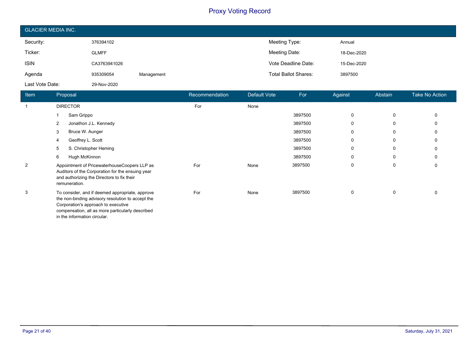| <b>GLACIER MEDIA INC.</b> |              |            |                             |             |  |  |
|---------------------------|--------------|------------|-----------------------------|-------------|--|--|
| Security:                 | 376394102    |            | Meeting Type:               | Annual      |  |  |
| Ticker:                   | <b>GLMFF</b> |            | Meeting Date:               | 18-Dec-2020 |  |  |
| <b>ISIN</b>               | CA3763941026 |            | Vote Deadline Date:         | 15-Dec-2020 |  |  |
| Agenda                    | 935309054    | Management | <b>Total Ballot Shares:</b> | 3897500     |  |  |
| Last Vote Date:           | 29-Nov-2020  |            |                             |             |  |  |

| Item           | Proposal                                                                                                                                                                                                                        | Recommendation | Default Vote | For     | Against      | Abstain | <b>Take No Action</b> |
|----------------|---------------------------------------------------------------------------------------------------------------------------------------------------------------------------------------------------------------------------------|----------------|--------------|---------|--------------|---------|-----------------------|
|                | <b>DIRECTOR</b>                                                                                                                                                                                                                 | For            | None         |         |              |         |                       |
|                | Sam Grippo                                                                                                                                                                                                                      |                |              | 3897500 | 0            | 0       | 0                     |
|                | Jonathon J.L. Kennedy<br>2                                                                                                                                                                                                      |                |              | 3897500 | 0            | 0       |                       |
|                | Bruce W. Aunger<br>3                                                                                                                                                                                                            |                |              | 3897500 | 0            | 0       |                       |
|                | Geoffrey L. Scott<br>4                                                                                                                                                                                                          |                |              | 3897500 | $\Omega$     | 0       |                       |
|                | S. Christopher Heming<br>5                                                                                                                                                                                                      |                |              | 3897500 | 0            | 0       |                       |
|                | Hugh McKinnon<br>6                                                                                                                                                                                                              |                |              | 3897500 | $\Omega$     | 0       |                       |
| $\overline{2}$ | Appointment of PricewaterhouseCoopers LLP as<br>Auditors of the Corporation for the ensuing year<br>and authorizing the Directors to fix their<br>remuneration.                                                                 | For            | None         | 3897500 | $\Omega$     | 0       | 0                     |
| 3              | To consider, and if deemed appropriate, approve<br>the non-binding advisory resolution to accept the<br>Corporation's approach to executive<br>compensation, all as more particularly described<br>in the information circular. | For            | None         | 3897500 | $\mathbf{0}$ | 0       |                       |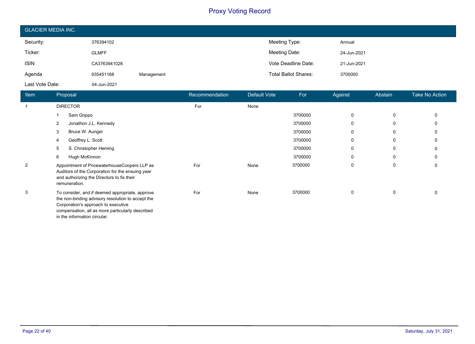| <b>GLACIER MEDIA INC.</b> |              |            |                             |             |  |  |
|---------------------------|--------------|------------|-----------------------------|-------------|--|--|
| Security:                 | 376394102    |            | Meeting Type:               | Annual      |  |  |
| Ticker:                   | <b>GLMFF</b> |            | Meeting Date:               | 24-Jun-2021 |  |  |
| <b>ISIN</b>               | CA3763941026 |            | Vote Deadline Date:         | 21-Jun-2021 |  |  |
| Agenda                    | 935451168    | Management | <b>Total Ballot Shares:</b> | 3700000     |  |  |
| Last Vote Date:           | 04-Jun-2021  |            |                             |             |  |  |

| Item           | Proposal                                                                                                                                                                                                                        | Recommendation | Default Vote | For     | Against  | <b>Abstain</b> | <b>Take No Action</b> |
|----------------|---------------------------------------------------------------------------------------------------------------------------------------------------------------------------------------------------------------------------------|----------------|--------------|---------|----------|----------------|-----------------------|
| -1             | <b>DIRECTOR</b>                                                                                                                                                                                                                 | For            | None         |         |          |                |                       |
|                | Sam Grippo                                                                                                                                                                                                                      |                |              | 3700000 | 0        | 0              |                       |
|                | Jonathon J.L. Kennedy<br>2                                                                                                                                                                                                      |                |              | 3700000 | $\Omega$ | 0              |                       |
|                | 3<br>Bruce W. Aunger                                                                                                                                                                                                            |                |              | 3700000 | 0        | 0              |                       |
|                | Geoffrey L. Scott                                                                                                                                                                                                               |                |              | 3700000 | $\Omega$ | 0              |                       |
|                | S. Christopher Heming<br>5                                                                                                                                                                                                      |                |              | 3700000 | $\Omega$ | 0              |                       |
|                | 6<br>Hugh McKinnon                                                                                                                                                                                                              |                |              | 3700000 | $\Omega$ | 0              |                       |
| $\overline{2}$ | Appointment of PricewaterhouseCoopers LLP as<br>Auditors of the Corporation for the ensuing year<br>and authorizing the Directors to fix their<br>remuneration.                                                                 | For            | None         | 3700000 | $\Omega$ | 0              |                       |
| 3              | To consider, and if deemed appropriate, approve<br>the non-binding advisory resolution to accept the<br>Corporation's approach to executive<br>compensation, all as more particularly described<br>in the information circular. | For            | None         | 3700000 | $\Omega$ | 0              |                       |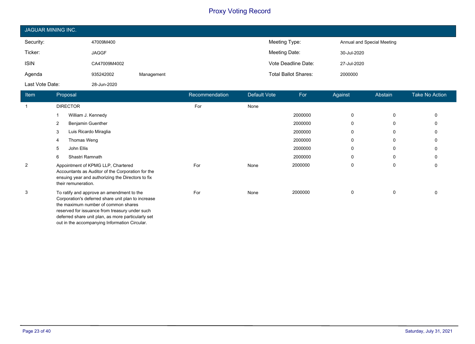| JAGUAR MINING INC. |              |            |                             |                            |  |  |
|--------------------|--------------|------------|-----------------------------|----------------------------|--|--|
| Security:          | 47009M400    |            | Meeting Type:               | Annual and Special Meeting |  |  |
| Ticker:            | <b>JAGGF</b> |            | Meeting Date:               | 30-Jul-2020                |  |  |
| <b>ISIN</b>        | CA47009M4002 |            | Vote Deadline Date:         | 27-Jul-2020                |  |  |
| Agenda             | 935242002    | Management | <b>Total Ballot Shares:</b> | 2000000                    |  |  |
| Last Vote Date:    | 28-Jun-2020  |            |                             |                            |  |  |

| Item | Proposal                                                                                                                                                                                                                                       | Recommendation | Default Vote | For     | Against      | Abstain | <b>Take No Action</b> |
|------|------------------------------------------------------------------------------------------------------------------------------------------------------------------------------------------------------------------------------------------------|----------------|--------------|---------|--------------|---------|-----------------------|
|      | <b>DIRECTOR</b>                                                                                                                                                                                                                                | For            | None         |         |              |         |                       |
|      | William J. Kennedy                                                                                                                                                                                                                             |                |              | 2000000 | 0            | 0       |                       |
|      | <b>Benjamin Guenther</b><br>2                                                                                                                                                                                                                  |                |              | 2000000 | 0            | 0       |                       |
|      | Luis Ricardo Miraglia<br>3                                                                                                                                                                                                                     |                |              | 2000000 | 0            | 0       |                       |
|      | Thomas Weng<br>4                                                                                                                                                                                                                               |                |              | 2000000 | $\Omega$     | 0       |                       |
|      | John Ellis<br>5                                                                                                                                                                                                                                |                |              | 2000000 | $\Omega$     | 0       |                       |
|      | Shastri Ramnath<br>6                                                                                                                                                                                                                           |                |              | 2000000 | $\mathbf{0}$ | 0       |                       |
| 2    | Appointment of KPMG LLP, Chartered<br>Accountants as Auditor of the Corporation for the<br>ensuing year and authorizing the Directors to fix<br>their remuneration.                                                                            | For            | None         | 2000000 | 0            | 0       |                       |
| 3    | To ratify and approve an amendment to the<br>Corporation's deferred share unit plan to increase<br>the maximum number of common shares<br>reserved for issuance from treasury under such<br>deferred share unit plan, as more particularly set | For            | None         | 2000000 | 0            | 0       |                       |

out in the accompanying Information Circular.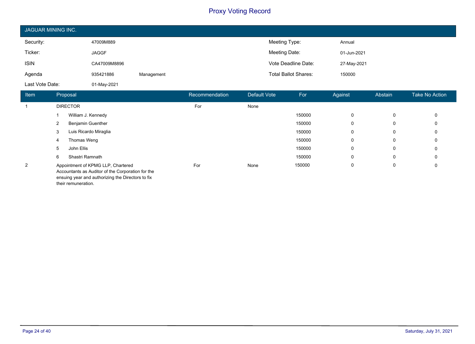| JAGUAR MINING INC. |              |            |                             |             |  |  |
|--------------------|--------------|------------|-----------------------------|-------------|--|--|
| Security:          | 47009M889    |            | Meeting Type:               | Annual      |  |  |
| Ticker:            | <b>JAGGF</b> |            | Meeting Date:               | 01-Jun-2021 |  |  |
| <b>ISIN</b>        | CA47009M8896 |            | Vote Deadline Date:         | 27-May-2021 |  |  |
| Agenda             | 935421886    | Management | <b>Total Ballot Shares:</b> | 150000      |  |  |
| Last Vote Date:    | 01-May-2021  |            |                             |             |  |  |

| <b>Item</b>    | Proposal                                                                                                                                                            | Recommendation | Default Vote | For    | Against | Abstain | <b>Take No Action</b> |
|----------------|---------------------------------------------------------------------------------------------------------------------------------------------------------------------|----------------|--------------|--------|---------|---------|-----------------------|
|                | <b>DIRECTOR</b>                                                                                                                                                     | For            | None         |        |         |         |                       |
|                | William J. Kennedy                                                                                                                                                  |                |              | 150000 | 0       | 0       | 0                     |
|                | <b>Benjamin Guenther</b><br>2                                                                                                                                       |                |              | 150000 | 0       | 0       | 0                     |
|                | Luis Ricardo Miraglia<br>3                                                                                                                                          |                |              | 150000 | 0       | 0       | 0                     |
|                | Thomas Weng<br>4                                                                                                                                                    |                |              | 150000 | 0       | 0       | 0                     |
|                | John Ellis<br>5                                                                                                                                                     |                |              | 150000 | 0       | 0       | 0                     |
|                | Shastri Ramnath<br>6                                                                                                                                                |                |              | 150000 | 0       | 0       | 0                     |
| $\overline{2}$ | Appointment of KPMG LLP, Chartered<br>Accountants as Auditor of the Corporation for the<br>ensuing year and authorizing the Directors to fix<br>their remuneration. | For            | None         | 150000 | 0       | 0       | 0                     |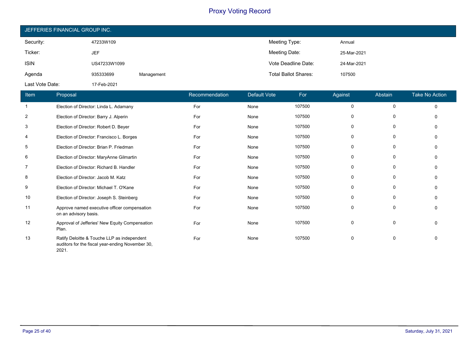| JEFFERIES FINANCIAL GROUP INC. |              |            |                             |             |  |  |
|--------------------------------|--------------|------------|-----------------------------|-------------|--|--|
| Security:                      | 47233W109    |            | Meeting Type:               | Annual      |  |  |
| Ticker:                        | JEF          |            | Meeting Date:               | 25-Mar-2021 |  |  |
| <b>ISIN</b>                    | US47233W1099 |            | Vote Deadline Date:         | 24-Mar-2021 |  |  |
| Agenda                         | 935333699    | Management | <b>Total Ballot Shares:</b> | 107500      |  |  |
| Last Vote Date:                | 17-Feb-2021  |            |                             |             |  |  |

| Item           | Proposal                                                                                                 | Recommendation | <b>Default Vote</b> | For    | Against      | Abstain | <b>Take No Action</b> |
|----------------|----------------------------------------------------------------------------------------------------------|----------------|---------------------|--------|--------------|---------|-----------------------|
|                | Election of Director: Linda L. Adamany                                                                   | For            | None                | 107500 | 0            | 0       | $\Omega$              |
| $\overline{2}$ | Election of Director: Barry J. Alperin                                                                   | For            | None                | 107500 | 0            | 0       |                       |
| 3              | Election of Director: Robert D. Beyer                                                                    | For            | None                | 107500 | $\mathbf{0}$ | 0       |                       |
| 4              | Election of Director: Francisco L. Borges                                                                | For            | None                | 107500 | 0            | 0       |                       |
| 5              | Election of Director: Brian P. Friedman                                                                  | For            | None                | 107500 | 0            | 0       |                       |
| 6              | Election of Director: MaryAnne Gilmartin                                                                 | For            | None                | 107500 | $\mathbf{0}$ | 0       |                       |
| 7              | Election of Director: Richard B. Handler                                                                 | For            | None                | 107500 | 0            | 0       |                       |
| 8              | Election of Director: Jacob M. Katz                                                                      | For            | None                | 107500 | 0            | 0       |                       |
| 9              | Election of Director: Michael T. O'Kane                                                                  | For            | None                | 107500 | $\mathbf{0}$ | 0       | 0                     |
| 10             | Election of Director: Joseph S. Steinberg                                                                | For            | None                | 107500 | $\mathbf{0}$ | 0       |                       |
| 11             | Approve named executive officer compensation<br>on an advisory basis.                                    | For            | None                | 107500 | 0            | 0       |                       |
| 12             | Approval of Jefferies' New Equity Compensation<br>Plan.                                                  | For            | None                | 107500 | 0            | 0       |                       |
| 13             | Ratify Deloitte & Touche LLP as independent<br>auditors for the fiscal year-ending November 30,<br>2021. | For            | None                | 107500 | 0            | 0       | <sup>0</sup>          |

Т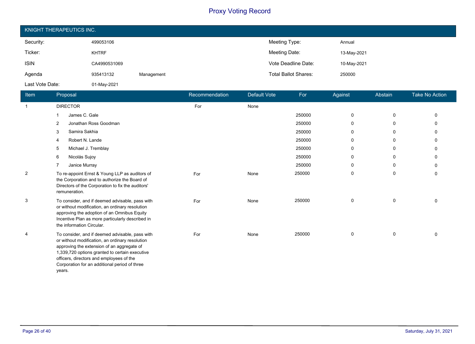| KNIGHT THERAPEUTICS INC. |              |            |                             |             |  |  |
|--------------------------|--------------|------------|-----------------------------|-------------|--|--|
| Security:                | 499053106    |            | Meeting Type:               | Annual      |  |  |
| Ticker:                  | <b>KHTRF</b> |            | Meeting Date:               | 13-May-2021 |  |  |
| <b>ISIN</b>              | CA4990531069 |            | Vote Deadline Date:         | 10-May-2021 |  |  |
| Agenda                   | 935413132    | Management | <b>Total Ballot Shares:</b> | 250000      |  |  |
| Last Vote Date:          | 01-May-2021  |            |                             |             |  |  |

| Item           | Proposal                                                                                                                                                                                                                                                                                                  | Recommendation | <b>Default Vote</b> | For    | Against     | Abstain | <b>Take No Action</b> |
|----------------|-----------------------------------------------------------------------------------------------------------------------------------------------------------------------------------------------------------------------------------------------------------------------------------------------------------|----------------|---------------------|--------|-------------|---------|-----------------------|
| $\mathbf{1}$   | <b>DIRECTOR</b>                                                                                                                                                                                                                                                                                           | For            | None                |        |             |         |                       |
|                | James C. Gale                                                                                                                                                                                                                                                                                             |                |                     | 250000 | 0           | 0       | 0                     |
|                | Jonathan Ross Goodman<br>2                                                                                                                                                                                                                                                                                |                |                     | 250000 | $\mathbf 0$ | 0       | 0                     |
|                | Samira Sakhia<br>3                                                                                                                                                                                                                                                                                        |                |                     | 250000 | 0           | 0       | U                     |
|                | Robert N. Lande                                                                                                                                                                                                                                                                                           |                |                     | 250000 | $\mathbf 0$ | 0       | 0                     |
|                | Michael J. Tremblay<br>5                                                                                                                                                                                                                                                                                  |                |                     | 250000 | 0           | 0       | 0                     |
|                | Nicolás Sujoy<br>6                                                                                                                                                                                                                                                                                        |                |                     | 250000 | 0           | 0       | 0                     |
|                | Janice Murray                                                                                                                                                                                                                                                                                             |                |                     | 250000 | 0           | 0       | 0                     |
| $\overline{2}$ | To re-appoint Ernst & Young LLP as auditors of<br>the Corporation and to authorize the Board of<br>Directors of the Corporation to fix the auditors'<br>remuneration.                                                                                                                                     | For            | None                | 250000 | 0           | 0       | 0                     |
| 3              | To consider, and if deemed advisable, pass with<br>or without modification, an ordinary resolution<br>approving the adoption of an Omnibus Equity<br>Incentive Plan as more particularly described in<br>the information Circular.                                                                        | For            | None                | 250000 | $\mathbf 0$ | 0       | 0                     |
| 4              | To consider, and if deemed advisable, pass with<br>or without modification, an ordinary resolution<br>approving the extension of an aggregate of<br>1,339,720 options granted to certain executive<br>officers, directors and employees of the<br>Corporation for an additional period of three<br>years. | For            | None                | 250000 | 0           | 0       | $\mathbf{0}$          |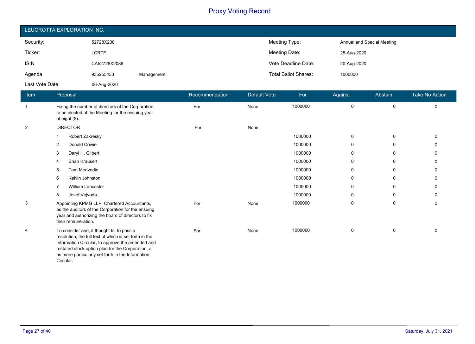| LEUCROTTA EXPLORATION INC. |              |            |                             |                            |  |  |
|----------------------------|--------------|------------|-----------------------------|----------------------------|--|--|
| Security:                  | 52728X208    |            | Meeting Type:               | Annual and Special Meeting |  |  |
| Ticker:                    | <b>LCRTF</b> |            | Meeting Date:               | 25-Aug-2020                |  |  |
| <b>ISIN</b>                | CA52728X2086 |            | Vote Deadline Date:         | 20-Aug-2020                |  |  |
| Agenda                     | 935255453    | Management | <b>Total Ballot Shares:</b> | 1000000                    |  |  |
| Last Vote Date:            | 06-Aug-2020  |            |                             |                            |  |  |

| Item           | Proposal                                                                                                                                                                                                                                                                          | Recommendation | Default Vote | For     | Against      | Abstain | Take No Action |
|----------------|-----------------------------------------------------------------------------------------------------------------------------------------------------------------------------------------------------------------------------------------------------------------------------------|----------------|--------------|---------|--------------|---------|----------------|
| -1             | Fixing the number of directors of the Corporation<br>to be elected at the Meeting for the ensuing year<br>at eight (8).                                                                                                                                                           | For            | None         | 1000000 | 0            | 0       | 0              |
| $\overline{2}$ | <b>DIRECTOR</b>                                                                                                                                                                                                                                                                   | For            | None         |         |              |         |                |
|                | Robert Zakresky                                                                                                                                                                                                                                                                   |                |              | 1000000 | $\mathbf{0}$ | 0       |                |
|                | Donald Cowie<br>2                                                                                                                                                                                                                                                                 |                |              | 1000000 | 0            | 0       | U              |
|                | Daryl H. Gilbert<br>3                                                                                                                                                                                                                                                             |                |              | 1000000 | $\mathbf{0}$ | 0       | 0              |
|                | <b>Brian Krausert</b><br>4                                                                                                                                                                                                                                                        |                |              | 1000000 | 0            | 0       | 0              |
|                | Tom Medvedic<br>5                                                                                                                                                                                                                                                                 |                |              | 1000000 | 0            | 0       | U              |
|                | Kelvin Johnston<br>6                                                                                                                                                                                                                                                              |                |              | 1000000 | 0            | 0       | 0              |
|                | <b>William Lancaster</b>                                                                                                                                                                                                                                                          |                |              | 1000000 | 0            | 0       | U              |
|                | Josef Vejvoda<br>8                                                                                                                                                                                                                                                                |                |              | 1000000 | $\mathbf{0}$ | 0       | 0              |
| 3              | Appointing KPMG LLP, Chartered Accountants,<br>as the auditors of the Corporation for the ensuing<br>year and authorizing the board of directors to fix<br>their remuneration.                                                                                                    | For            | None         | 1000000 | $\mathbf{0}$ | 0       | 0              |
| $\overline{4}$ | To consider and, if thought fit, to pass a<br>resolution, the full text of which is set forth in the<br>Information Circular, to approve the amended and<br>restated stock option plan for the Corporation, all<br>as more particularly set forth in the Information<br>Circular. | For            | None         | 1000000 | $\Omega$     | 0       | <sup>0</sup>   |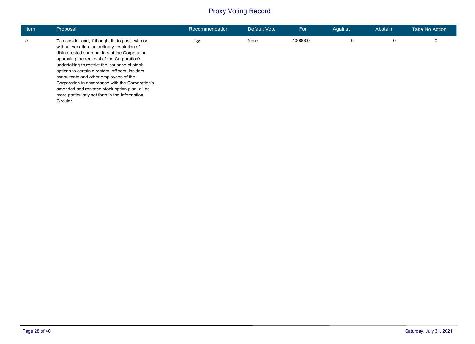| <b>Item</b> | Proposal                                                                                                                                                                                                                                                                                                                                                                                                                                                                                                              | Recommendation | Default Vote | For     | Against | Abstain | Take No Action |
|-------------|-----------------------------------------------------------------------------------------------------------------------------------------------------------------------------------------------------------------------------------------------------------------------------------------------------------------------------------------------------------------------------------------------------------------------------------------------------------------------------------------------------------------------|----------------|--------------|---------|---------|---------|----------------|
|             | To consider and, if thought fit, to pass, with or<br>without variation, an ordinary resolution of<br>disinterested shareholders of the Corporation<br>approving the removal of the Corporation's<br>undertaking to restrict the issuance of stock<br>options to certain directors, officers, insiders,<br>consultants and other employees of the<br>Corporation in accordance with the Corporation's<br>amended and restated stock option plan, all as<br>more particularly set forth in the Information<br>Circular. | For            | None         | 1000000 | 0       | 0       |                |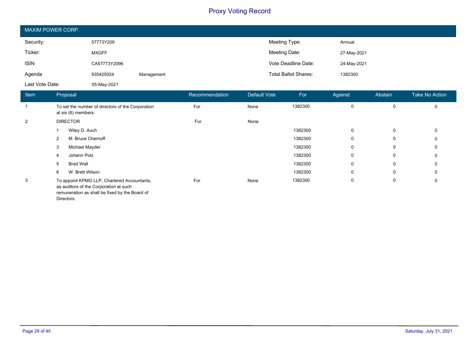| MAXIM POWER CORP. |              |            |                             |             |  |  |  |
|-------------------|--------------|------------|-----------------------------|-------------|--|--|--|
| Security:         | 57773Y209    |            | Meeting Type:               | Annual      |  |  |  |
| Ticker:           | <b>MXGFF</b> |            | Meeting Date:               | 27-May-2021 |  |  |  |
| <b>ISIN</b>       | CA57773Y2096 |            | Vote Deadline Date:         | 24-May-2021 |  |  |  |
| Agenda            | 935425024    | Management | <b>Total Ballot Shares:</b> | 1382300     |  |  |  |
| Last Vote Date:   | 05-May-2021  |            |                             |             |  |  |  |

| Item           | Proposal                                                                                                                                              | Recommendation | Default Vote | For     | Against     | Abstain     | <b>Take No Action</b> |
|----------------|-------------------------------------------------------------------------------------------------------------------------------------------------------|----------------|--------------|---------|-------------|-------------|-----------------------|
|                | To set the number of directors of the Corporation<br>at six (6) members.                                                                              | For            | None         | 1382300 | 0           | 0           | $\mathbf 0$           |
| $\overline{2}$ | <b>DIRECTOR</b>                                                                                                                                       | For            | None         |         |             |             |                       |
|                | Wiley D. Auch                                                                                                                                         |                |              | 1382300 | $\mathbf 0$ | $\mathbf 0$ | $\Omega$              |
|                | M. Bruce Chernoff<br>$\overline{2}$                                                                                                                   |                |              | 1382300 | $\mathbf 0$ | 0           | 0                     |
|                | Michael Mayder<br>3                                                                                                                                   |                |              | 1382300 | $\mathbf 0$ | 0           | 0                     |
|                | Johann Polz<br>4                                                                                                                                      |                |              | 1382300 | $\mathbf 0$ | 0           | $\Omega$              |
|                | <b>Brad Wall</b><br>5                                                                                                                                 |                |              | 1382300 | 0           | 0           | 0                     |
|                | W. Brett Wilson<br>6                                                                                                                                  |                |              | 1382300 | 0           | 0           | $\mathbf{0}$          |
| 3              | To appoint KPMG LLP, Chartered Accountants,<br>as auditors of the Corporation at such<br>remuneration as shall be fixed by the Board of<br>Directors. | For            | None         | 1382300 | 0           | 0           | 0                     |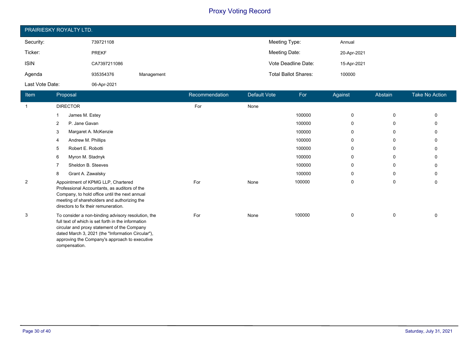| PRAIRIESKY ROYALTY LTD. |              |            |                             |             |  |  |  |  |
|-------------------------|--------------|------------|-----------------------------|-------------|--|--|--|--|
| Security:               | 739721108    |            | Meeting Type:               | Annual      |  |  |  |  |
| Ticker:                 | <b>PREKF</b> |            | Meeting Date:               | 20-Apr-2021 |  |  |  |  |
| <b>ISIN</b>             | CA7397211086 |            | Vote Deadline Date:         | 15-Apr-2021 |  |  |  |  |
| Agenda                  | 935354376    | Management | <b>Total Ballot Shares:</b> | 100000      |  |  |  |  |
| Last Vote Date:         | 06-Apr-2021  |            |                             |             |  |  |  |  |

| Item           | Proposal                                                                                                                                                                                                                                                                       | Recommendation | <b>Default Vote</b> | For    | Against     | Abstain     | <b>Take No Action</b> |
|----------------|--------------------------------------------------------------------------------------------------------------------------------------------------------------------------------------------------------------------------------------------------------------------------------|----------------|---------------------|--------|-------------|-------------|-----------------------|
| $\mathbf{1}$   | <b>DIRECTOR</b>                                                                                                                                                                                                                                                                | For            | None                |        |             |             |                       |
|                | James M. Estey                                                                                                                                                                                                                                                                 |                |                     | 100000 | 0           | $\mathbf 0$ | $\Omega$              |
|                | P. Jane Gavan<br>2                                                                                                                                                                                                                                                             |                |                     | 100000 | $\mathbf 0$ | $\mathbf 0$ | $\Omega$              |
|                | Margaret A. McKenzie<br>3                                                                                                                                                                                                                                                      |                |                     | 100000 | $\mathbf 0$ | 0           | $\Omega$              |
|                | Andrew M. Phillips                                                                                                                                                                                                                                                             |                |                     | 100000 | $\mathbf 0$ | 0           | 0                     |
|                | Robert E. Robotti<br>5                                                                                                                                                                                                                                                         |                |                     | 100000 | $\mathbf 0$ | 0           | 0                     |
|                | Myron M. Stadnyk<br>6                                                                                                                                                                                                                                                          |                |                     | 100000 | $\mathbf 0$ | 0           | $\Omega$              |
|                | Sheldon B. Steeves                                                                                                                                                                                                                                                             |                |                     | 100000 | 0           | 0           | 0                     |
|                | Grant A. Zawalsky<br>8                                                                                                                                                                                                                                                         |                |                     | 100000 | $\mathbf 0$ | 0           | 0                     |
| $\overline{2}$ | Appointment of KPMG LLP, Chartered<br>Professional Accountants, as auditors of the<br>Company, to hold office until the next annual<br>meeting of shareholders and authorizing the<br>directors to fix their remuneration.                                                     | For            | None                | 100000 | $\Omega$    | $\mathbf 0$ | 0                     |
| 3              | To consider a non-binding advisory resolution, the<br>full text of which is set forth in the information<br>circular and proxy statement of the Company<br>dated March 3, 2021 (the "Information Circular"),<br>approving the Company's approach to executive<br>compensation. | For            | None                | 100000 | $\mathbf 0$ | $\mathbf 0$ | $\Omega$              |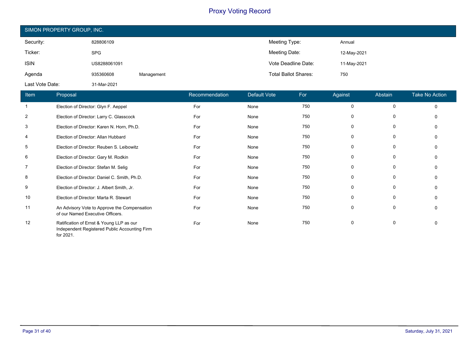| SIMON PROPERTY GROUP, INC. |              |            |                             |             |  |  |  |  |
|----------------------------|--------------|------------|-----------------------------|-------------|--|--|--|--|
| Security:                  | 828806109    |            | Meeting Type:               | Annual      |  |  |  |  |
| Ticker:                    | <b>SPG</b>   |            | Meeting Date:               | 12-May-2021 |  |  |  |  |
| <b>ISIN</b>                | US8288061091 |            | Vote Deadline Date:         | 11-May-2021 |  |  |  |  |
| Agenda                     | 935360608    | Management | <b>Total Ballot Shares:</b> | 750         |  |  |  |  |
| Last Vote Date:            | 31-Mar-2021  |            |                             |             |  |  |  |  |

| Item           | Proposal                                                                                               | Recommendation | <b>Default Vote</b> | For | Against     | Abstain      | <b>Take No Action</b> |
|----------------|--------------------------------------------------------------------------------------------------------|----------------|---------------------|-----|-------------|--------------|-----------------------|
|                | Election of Director: Glyn F. Aeppel                                                                   | For            | None                | 750 | 0           | $\mathbf 0$  | $\Omega$              |
| 2              | Election of Director: Larry C. Glasscock                                                               | For            | None                | 750 | 0           | 0            | $\Omega$              |
| 3              | Election of Director: Karen N. Horn, Ph.D.                                                             | For            | None                | 750 | 0           | 0            | $\Omega$              |
| $\overline{4}$ | Election of Director: Allan Hubbard                                                                    | For            | None                | 750 | 0           | 0            | $\Omega$              |
| 5              | Election of Director: Reuben S. Leibowitz                                                              | For            | None                | 750 | 0           | 0            | $\Omega$              |
| 6              | Election of Director: Gary M. Rodkin                                                                   | For            | None                | 750 | 0           | 0            | $\Omega$              |
| $\overline{7}$ | Election of Director: Stefan M. Selig                                                                  | For            | None                | 750 | $\mathbf 0$ | $\mathbf 0$  | $\Omega$              |
| 8              | Election of Director: Daniel C. Smith, Ph.D.                                                           | For            | None                | 750 | 0           | 0            | $\Omega$              |
| 9              | Election of Director: J. Albert Smith, Jr.                                                             | For            | None                | 750 | 0           | 0            | $\Omega$              |
| 10             | Election of Director: Marta R. Stewart                                                                 | For            | None                | 750 | 0           | $\mathbf{0}$ | $\Omega$              |
| 11             | An Advisory Vote to Approve the Compensation<br>of our Named Executive Officers.                       | For            | None                | 750 | 0           | 0            | 0                     |
| 12             | Ratification of Ernst & Young LLP as our<br>Independent Registered Public Accounting Firm<br>for 2021. | For            | None                | 750 | $\mathbf 0$ | 0            | $\Omega$              |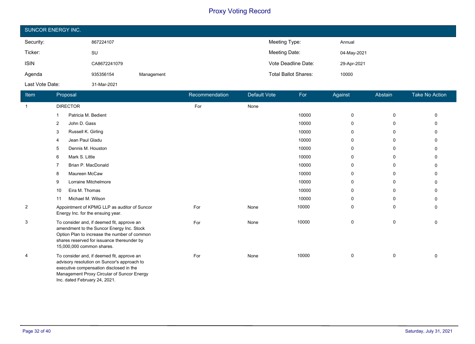| <b>SUNCOR ENERGY INC.</b> |              |            |                             |             |  |  |  |
|---------------------------|--------------|------------|-----------------------------|-------------|--|--|--|
| Security:                 | 867224107    |            | Meeting Type:               | Annual      |  |  |  |
| Ticker:                   | SU           |            | Meeting Date:               | 04-May-2021 |  |  |  |
| <b>ISIN</b>               | CA8672241079 |            | Vote Deadline Date:         | 29-Apr-2021 |  |  |  |
| Agenda                    | 935356154    | Management | <b>Total Ballot Shares:</b> | 10000       |  |  |  |
| Last Vote Date:           | 31-Mar-2021  |            |                             |             |  |  |  |

| <b>Item</b>    | Proposal                                                                                                                                                                                                            | Recommendation | Default Vote | For   | Against | Abstain      | <b>Take No Action</b> |
|----------------|---------------------------------------------------------------------------------------------------------------------------------------------------------------------------------------------------------------------|----------------|--------------|-------|---------|--------------|-----------------------|
| $\overline{1}$ | <b>DIRECTOR</b>                                                                                                                                                                                                     | For            | None         |       |         |              |                       |
|                | Patricia M. Bedient                                                                                                                                                                                                 |                |              | 10000 | 0       | 0            | $\Omega$              |
|                | John D. Gass<br>$\overline{2}$                                                                                                                                                                                      |                |              | 10000 | 0       | 0            | n                     |
|                | Russell K. Girling<br>3                                                                                                                                                                                             |                |              | 10000 | 0       | 0            | n                     |
|                | Jean Paul Gladu<br>4                                                                                                                                                                                                |                |              | 10000 | 0       | 0            | $\Omega$              |
|                | Dennis M. Houston<br>5                                                                                                                                                                                              |                |              | 10000 | 0       | $\Omega$     | ∩                     |
|                | Mark S. Little<br>6                                                                                                                                                                                                 |                |              | 10000 | 0       | 0            | n                     |
|                | Brian P. MacDonald                                                                                                                                                                                                  |                |              | 10000 | 0       | 0            | $\Omega$              |
|                | Maureen McCaw<br>8                                                                                                                                                                                                  |                |              | 10000 | 0       | 0            | <sup>0</sup>          |
|                | Lorraine Mitchelmore<br>9                                                                                                                                                                                           |                |              | 10000 | 0       | $\mathbf{0}$ | n                     |
|                | Eira M. Thomas<br>10                                                                                                                                                                                                |                |              | 10000 | 0       | 0            | $\Omega$              |
|                | Michael M. Wilson<br>11                                                                                                                                                                                             |                |              | 10000 | 0       | 0            | $\Omega$              |
| $\overline{2}$ | Appointment of KPMG LLP as auditor of Suncor<br>Energy Inc. for the ensuing year.                                                                                                                                   | For            | None         | 10000 | 0       | 0            | $\Omega$              |
| 3              | To consider and, if deemed fit, approve an<br>amendment to the Suncor Energy Inc. Stock<br>Option Plan to increase the number of common<br>shares reserved for issuance thereunder by<br>15,000,000 common shares.  | For            | None         | 10000 | 0       | 0            | $\Omega$              |
| 4              | To consider and, if deemed fit, approve an<br>advisory resolution on Suncor's approach to<br>executive compensation disclosed in the<br>Management Proxy Circular of Suncor Energy<br>Inc. dated February 24, 2021. | For            | None         | 10000 | 0       | 0            | $\Omega$              |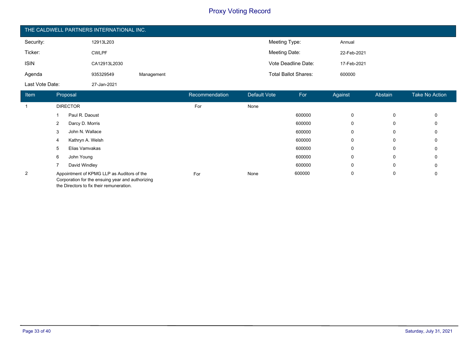| THE CALDWELL PARTNERS INTERNATIONAL INC. |              |            |                             |             |  |  |  |  |
|------------------------------------------|--------------|------------|-----------------------------|-------------|--|--|--|--|
| Security:                                | 12913L203    |            | Meeting Type:               | Annual      |  |  |  |  |
| Ticker:                                  | <b>CWLPF</b> |            | Meeting Date:               | 22-Feb-2021 |  |  |  |  |
| <b>ISIN</b>                              | CA12913L2030 |            | Vote Deadline Date:         | 17-Feb-2021 |  |  |  |  |
| Agenda                                   | 935329549    | Management | <b>Total Ballot Shares:</b> | 600000      |  |  |  |  |
| Last Vote Date:                          | 27-Jan-2021  |            |                             |             |  |  |  |  |

| Item           | Proposal                                                                                       | Recommendation | Default Vote | For    | Against | Abstain | Take No Action |
|----------------|------------------------------------------------------------------------------------------------|----------------|--------------|--------|---------|---------|----------------|
|                | <b>DIRECTOR</b>                                                                                | For            | None         |        |         |         |                |
|                | Paul R. Daoust                                                                                 |                |              | 600000 | 0       | 0       | 0              |
|                | Darcy D. Morris<br>2                                                                           |                |              | 600000 | 0       | 0       | 0              |
|                | John N. Wallace<br>3                                                                           |                |              | 600000 | 0       | 0       | 0              |
|                | Kathryn A. Welsh<br>4                                                                          |                |              | 600000 | 0       | 0       | 0              |
|                | Elias Vamvakas<br>5                                                                            |                |              | 600000 | 0       | 0       | 0              |
|                | John Young<br>6                                                                                |                |              | 600000 | 0       | 0       | 0              |
|                | David Windley                                                                                  |                |              | 600000 | 0       | 0       | 0              |
| $\overline{2}$ | Appointment of KPMG LLP as Auditors of the<br>Corporation for the ensuing year and authorizing | For            | None         | 600000 | 0       | 0       | 0              |

the Directors to fix their remuneration.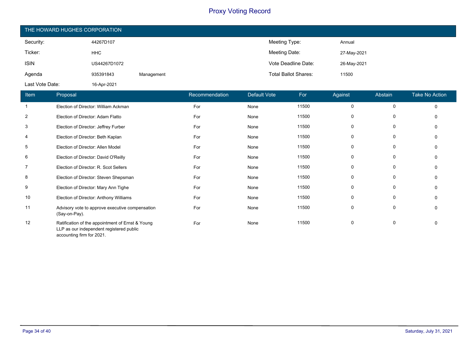| THE HOWARD HUGHES CORPORATION |              |            |                             |             |  |  |
|-------------------------------|--------------|------------|-----------------------------|-------------|--|--|
| Security:                     | 44267D107    |            | Meeting Type:               | Annual      |  |  |
| Ticker:                       | <b>HHC</b>   |            | Meeting Date:               | 27-May-2021 |  |  |
| <b>ISIN</b>                   | US44267D1072 |            | Vote Deadline Date:         | 26-May-2021 |  |  |
| Agenda                        | 935391843    | Management | <b>Total Ballot Shares:</b> | 11500       |  |  |
| Last Vote Date:               | 16-Apr-2021  |            |                             |             |  |  |

| Item           | <b>Proposal</b>                                                                                                           | Recommendation | Default Vote | For   | Against | Abstain     | <b>Take No Action</b> |
|----------------|---------------------------------------------------------------------------------------------------------------------------|----------------|--------------|-------|---------|-------------|-----------------------|
| $\mathbf 1$    | Election of Director: William Ackman                                                                                      | For            | None         | 11500 | 0       | $\mathbf 0$ | $\mathbf 0$           |
| $\overline{2}$ | Election of Director: Adam Flatto                                                                                         | For            | None         | 11500 | 0       | 0           | $\mathbf{0}$          |
| 3              | Election of Director: Jeffrey Furber                                                                                      | For            | None         | 11500 | 0       | 0           | $\Omega$              |
| 4              | Election of Director: Beth Kaplan                                                                                         | For            | None         | 11500 | 0       | 0           | 0                     |
| 5              | Election of Director: Allen Model                                                                                         | For            | None         | 11500 | 0       | 0           | $\Omega$              |
| 6              | Election of Director: David O'Reilly                                                                                      | For            | None         | 11500 | 0       | 0           | 0                     |
| $\overline{7}$ | Election of Director: R. Scot Sellers                                                                                     | For            | None         | 11500 | 0       | 0           | $\Omega$              |
| 8              | Election of Director: Steven Shepsman                                                                                     | For            | None         | 11500 | 0       | 0           | $\Omega$              |
| 9              | Election of Director: Mary Ann Tighe                                                                                      | For            | None         | 11500 | 0       | 0           | $\Omega$              |
| 10             | Election of Director: Anthony Williams                                                                                    | For            | None         | 11500 | 0       | 0           | $\Omega$              |
| 11             | Advisory vote to approve executive compensation<br>(Say-on-Pay).                                                          | For            | None         | 11500 | 0       | 0           | $\Omega$              |
| 12             | Ratification of the appointment of Ernst & Young<br>LLP as our independent registered public<br>accounting firm for 2021. | For            | None         | 11500 | 0       | 0           | $\Omega$              |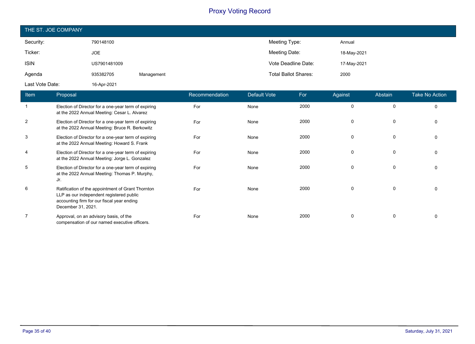| THE ST. JOE COMPANY |              |            |                             |             |  |  |
|---------------------|--------------|------------|-----------------------------|-------------|--|--|
| Security:           | 790148100    |            | Meeting Type:               | Annual      |  |  |
| Ticker:             | JOE          |            | Meeting Date:               | 18-May-2021 |  |  |
| <b>ISIN</b>         | US7901481009 |            | Vote Deadline Date:         | 17-May-2021 |  |  |
| Agenda              | 935382705    | Management | <b>Total Ballot Shares:</b> | 2000        |  |  |
| Last Vote Date:     | 16-Apr-2021  |            |                             |             |  |  |

| Item           | Proposal                                                                                                                                                          | Recommendation | <b>Default Vote</b> | For  | Against  | Abstain  | <b>Take No Action</b> |
|----------------|-------------------------------------------------------------------------------------------------------------------------------------------------------------------|----------------|---------------------|------|----------|----------|-----------------------|
|                | Election of Director for a one-year term of expiring<br>at the 2022 Annual Meeting: Cesar L. Alvarez                                                              | For            | None                | 2000 | $\Omega$ | $\Omega$ | $\Omega$              |
| 2              | Election of Director for a one-year term of expiring<br>at the 2022 Annual Meeting: Bruce R. Berkowitz                                                            | For            | None                | 2000 | $\Omega$ | 0        |                       |
| 3              | Election of Director for a one-year term of expiring<br>at the 2022 Annual Meeting: Howard S. Frank                                                               | For            | None                | 2000 | $\Omega$ | 0        |                       |
| $\overline{4}$ | Election of Director for a one-year term of expiring<br>at the 2022 Annual Meeting: Jorge L. Gonzalez                                                             | For            | None                | 2000 | $\Omega$ | $\Omega$ |                       |
| 5              | Election of Director for a one-year term of expiring<br>at the 2022 Annual Meeting: Thomas P. Murphy,<br>Jr.                                                      | For            | None                | 2000 |          | $\Omega$ |                       |
| 6              | Ratification of the appointment of Grant Thornton<br>LLP as our independent registered public<br>accounting firm for our fiscal year ending<br>December 31, 2021. | For            | None                | 2000 | $\Omega$ | 0        |                       |
| $\overline{7}$ | Approval, on an advisory basis, of the<br>compensation of our named executive officers.                                                                           | For            | None                | 2000 |          |          |                       |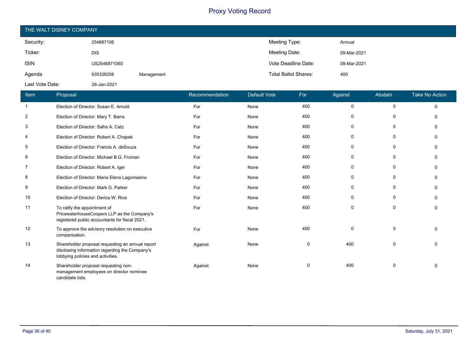| THE WALT DISNEY COMPANY |              |            |                             |             |  |  |
|-------------------------|--------------|------------|-----------------------------|-------------|--|--|
| Security:               | 254687106    |            | Meeting Type:               | Annual      |  |  |
| Ticker:                 | <b>DIS</b>   |            | Meeting Date:               | 09-Mar-2021 |  |  |
| <b>ISIN</b>             | US2546871060 |            | Vote Deadline Date:         | 08-Mar-2021 |  |  |
| Agenda                  | 935328206    | Management | <b>Total Ballot Shares:</b> | 400         |  |  |
| Last Vote Date:         | 26-Jan-2021  |            |                             |             |  |  |

| Item           | Proposal                                                                                                                                | Recommendation | Default Vote | For         | Against     | Abstain     | <b>Take No Action</b> |
|----------------|-----------------------------------------------------------------------------------------------------------------------------------------|----------------|--------------|-------------|-------------|-------------|-----------------------|
| $\mathbf{1}$   | Election of Director: Susan E. Arnold                                                                                                   | For            | None         | 400         | $\mathbf 0$ | 0           | $\Omega$              |
| $\overline{c}$ | Election of Director: Mary T. Barra                                                                                                     | For            | None         | 400         | 0           | 0           | $\Omega$              |
| 3              | Election of Director: Safra A. Catz                                                                                                     | For            | None         | 400         | 0           | 0           | $\Omega$              |
| 4              | Election of Director: Robert A. Chapek                                                                                                  | For            | None         | 400         | 0           | 0           | O                     |
| 5              | Election of Director: Francis A. deSouza                                                                                                | For            | None         | 400         | 0           | 0           | $\Omega$              |
| 6              | Election of Director: Michael B.G. Froman                                                                                               | For            | None         | 400         | 0           | 0           | $\Omega$              |
| 7              | Election of Director: Robert A. Iger                                                                                                    | For            | None         | 400         | 0           | 0           | $\Omega$              |
| 8              | Election of Director: Maria Elena Lagomasino                                                                                            | For            | None         | 400         | 0           | 0           | O                     |
| 9              | Election of Director: Mark G. Parker                                                                                                    | For            | None         | 400         | $\mathbf 0$ | 0           | $\Omega$              |
| 10             | Election of Director: Derica W. Rice                                                                                                    | For            | None         | 400         | 0           | 0           | $\Omega$              |
| 11             | To ratify the appointment of<br>PricewaterhouseCoopers LLP as the Company's<br>registered public accountants for fiscal 2021.           | For            | None         | 400         | $\mathbf 0$ | 0           | $\Omega$              |
| 12             | To approve the advisory resolution on executive<br>compensation.                                                                        | For            | None         | 400         | 0           | 0           | $\Omega$              |
| 13             | Shareholder proposal requesting an annual report<br>disclosing information regarding the Company's<br>lobbying policies and activities. | Against        | None         | $\mathbf 0$ | 400         | $\mathbf 0$ | $\Omega$              |
| 14             | Shareholder proposal requesting non-<br>management employees on director nominee<br>candidate lists.                                    | Against        | None         | 0           | 400         | 0           | $\Omega$              |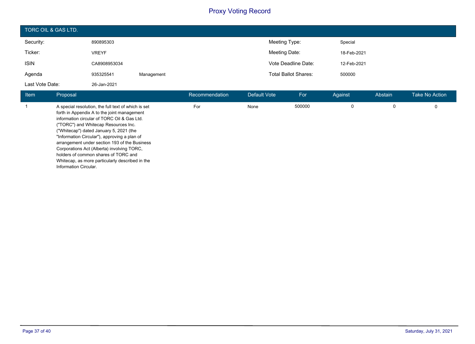| TORC OIL & GAS LTD. |              |            |                             |             |
|---------------------|--------------|------------|-----------------------------|-------------|
| Security:           | 890895303    |            | Meeting Type:               | Special     |
| Ticker:             | <b>VREYF</b> |            | Meeting Date:               | 18-Feb-2021 |
| <b>ISIN</b>         | CA8908953034 |            | Vote Deadline Date:         | 12-Feb-2021 |
| Agenda              | 935325541    | Management | <b>Total Ballot Shares:</b> | 500000      |
| Last Vote Date:     | 26-Jan-2021  |            |                             |             |

| <b>Item</b> | Proposal                                                                                                                                                                                                                                                                                                                                                                                                                                                                                                | Recommendation | Default Vote | For    | Against | Abstain | Take No Action |
|-------------|---------------------------------------------------------------------------------------------------------------------------------------------------------------------------------------------------------------------------------------------------------------------------------------------------------------------------------------------------------------------------------------------------------------------------------------------------------------------------------------------------------|----------------|--------------|--------|---------|---------|----------------|
|             | A special resolution, the full text of which is set<br>forth in Appendix A to the joint management<br>information circular of TORC Oil & Gas Ltd.<br>("TORC") and Whitecap Resources Inc.<br>("Whitecap") dated January 5, 2021 (the<br>"Information Circular"), approving a plan of<br>arrangement under section 193 of the Business<br>Corporations Act (Alberta) involving TORC.<br>holders of common shares of TORC and<br>Whitecap, as more particularly described in the<br>Information Circular. | For            | None         | 500000 |         |         | 0              |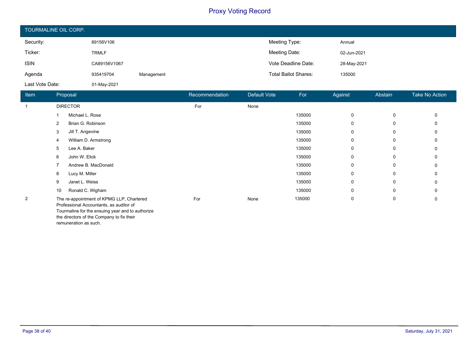| TOURMALINE OIL CORP. |              |            |                             |             |
|----------------------|--------------|------------|-----------------------------|-------------|
| Security:            | 89156V106    |            | Meeting Type:               | Annual      |
| Ticker:              | <b>TRMLF</b> |            | Meeting Date:               | 02-Jun-2021 |
| <b>ISIN</b>          | CA89156V1067 |            | Vote Deadline Date:         | 28-May-2021 |
| Agenda               | 935419704    | Management | <b>Total Ballot Shares:</b> | 135000      |
| Last Vote Date:      | 01-May-2021  |            |                             |             |

| Item           | Proposal                                                                                                                                 | Recommendation | Default Vote | For    | Against  | Abstain | <b>Take No Action</b> |
|----------------|------------------------------------------------------------------------------------------------------------------------------------------|----------------|--------------|--------|----------|---------|-----------------------|
| $\overline{1}$ | <b>DIRECTOR</b>                                                                                                                          | For            | None         |        |          |         |                       |
|                | Michael L. Rose                                                                                                                          |                |              | 135000 | $\Omega$ | 0       |                       |
|                | Brian G. Robinson<br>2                                                                                                                   |                |              | 135000 | 0        | 0       |                       |
|                | Jill T. Angevine<br>3                                                                                                                    |                |              | 135000 | 0        | 0       |                       |
|                | William D. Armstrong<br>4                                                                                                                |                |              | 135000 | 0        | 0       |                       |
|                | Lee A. Baker<br>5                                                                                                                        |                |              | 135000 | 0        | 0       |                       |
|                | John W. Elick<br>6                                                                                                                       |                |              | 135000 | 0        | 0       |                       |
|                | Andrew B. MacDonald                                                                                                                      |                |              | 135000 | 0        | 0       |                       |
|                | Lucy M. Miller<br>8                                                                                                                      |                |              | 135000 | $\Omega$ | 0       |                       |
|                | Janet L. Weiss<br>9                                                                                                                      |                |              | 135000 | 0        | 0       | 0                     |
|                | Ronald C. Wigham<br>10                                                                                                                   |                |              | 135000 | 0        | 0       |                       |
| $\overline{2}$ | The re-appointment of KPMG LLP, Chartered<br>Professional Accountants, as auditor of<br>Tourmaline for the ensuing year and to authorize | For            | None         | 135000 | 0        | 0       | 0                     |

the directors of the Company to fix their

remuneration as such.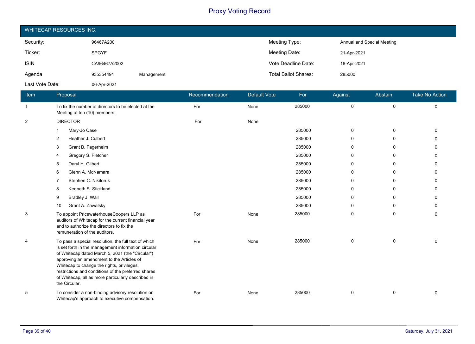| WHITECAP RESOURCES INC. |              |            |                             |                            |  |  |
|-------------------------|--------------|------------|-----------------------------|----------------------------|--|--|
| Security:               | 96467A200    |            | Meeting Type:               | Annual and Special Meeting |  |  |
| Ticker:                 | <b>SPGYF</b> |            | Meeting Date:               | 21-Apr-2021                |  |  |
| <b>ISIN</b>             | CA96467A2002 |            | Vote Deadline Date:         | 16-Apr-2021                |  |  |
| Agenda                  | 935354491    | Management | <b>Total Ballot Shares:</b> | 285000                     |  |  |
| Last Vote Date:         | 06-Apr-2021  |            |                             |                            |  |  |

| Item           | Proposal                                                                                                                                                                                                                                                                                                                                                                                 | Recommendation | Default Vote | For    | Against     | Abstain     | <b>Take No Action</b> |
|----------------|------------------------------------------------------------------------------------------------------------------------------------------------------------------------------------------------------------------------------------------------------------------------------------------------------------------------------------------------------------------------------------------|----------------|--------------|--------|-------------|-------------|-----------------------|
| $\mathbf{1}$   | To fix the number of directors to be elected at the<br>Meeting at ten (10) members.                                                                                                                                                                                                                                                                                                      | For            | None         | 285000 | $\mathbf 0$ | $\mathbf 0$ | 0                     |
| $\overline{2}$ | <b>DIRECTOR</b>                                                                                                                                                                                                                                                                                                                                                                          | For            | None         |        |             |             |                       |
|                | Mary-Jo Case<br>1                                                                                                                                                                                                                                                                                                                                                                        |                |              | 285000 | $\mathbf 0$ | $\mathbf 0$ | $\Omega$              |
|                | Heather J. Culbert<br>$\overline{2}$                                                                                                                                                                                                                                                                                                                                                     |                |              | 285000 | 0           | $\Omega$    | U                     |
|                | 3<br>Grant B. Fagerheim                                                                                                                                                                                                                                                                                                                                                                  |                |              | 285000 | $\mathbf 0$ | $\Omega$    | ŋ                     |
|                | Gregory S. Fletcher<br>4                                                                                                                                                                                                                                                                                                                                                                 |                |              | 285000 | 0           | $\Omega$    | $\Omega$              |
|                | Daryl H. Gilbert<br>5                                                                                                                                                                                                                                                                                                                                                                    |                |              | 285000 | 0           | 0           | 0                     |
|                | Glenn A. McNamara<br>6                                                                                                                                                                                                                                                                                                                                                                   |                |              | 285000 | 0           | $\Omega$    | 0                     |
|                | Stephen C. Nikiforuk<br>7                                                                                                                                                                                                                                                                                                                                                                |                |              | 285000 | 0           | 0           | 0                     |
|                | Kenneth S. Stickland<br>8                                                                                                                                                                                                                                                                                                                                                                |                |              | 285000 | $\mathbf 0$ | $\Omega$    | 0                     |
|                | Bradley J. Wall<br>9                                                                                                                                                                                                                                                                                                                                                                     |                |              | 285000 | 0           | 0           | $\Omega$              |
|                | Grant A. Zawalsky<br>10                                                                                                                                                                                                                                                                                                                                                                  |                |              | 285000 | 0           | 0           | 0                     |
| 3              | To appoint PricewaterhouseCoopers LLP as<br>auditors of Whitecap for the current financial year<br>and to authorize the directors to fix the<br>remuneration of the auditors.                                                                                                                                                                                                            | For            | None         | 285000 | $\mathbf 0$ | 0           | 0                     |
| 4              | To pass a special resolution, the full text of which<br>is set forth in the management information circular<br>of Whitecap dated March 5, 2021 (the "Circular")<br>approving an amendment to the Articles of<br>Whitecap to change the rights, privileges,<br>restrictions and conditions of the preferred shares<br>of Whitecap, all as more particularly described in<br>the Circular. | For            | None         | 285000 | 0           | 0           | 0                     |
| 5              | To consider a non-binding advisory resolution on<br>Whitecap's approach to executive compensation.                                                                                                                                                                                                                                                                                       | For            | None         | 285000 | 0           | 0           | $\Omega$              |